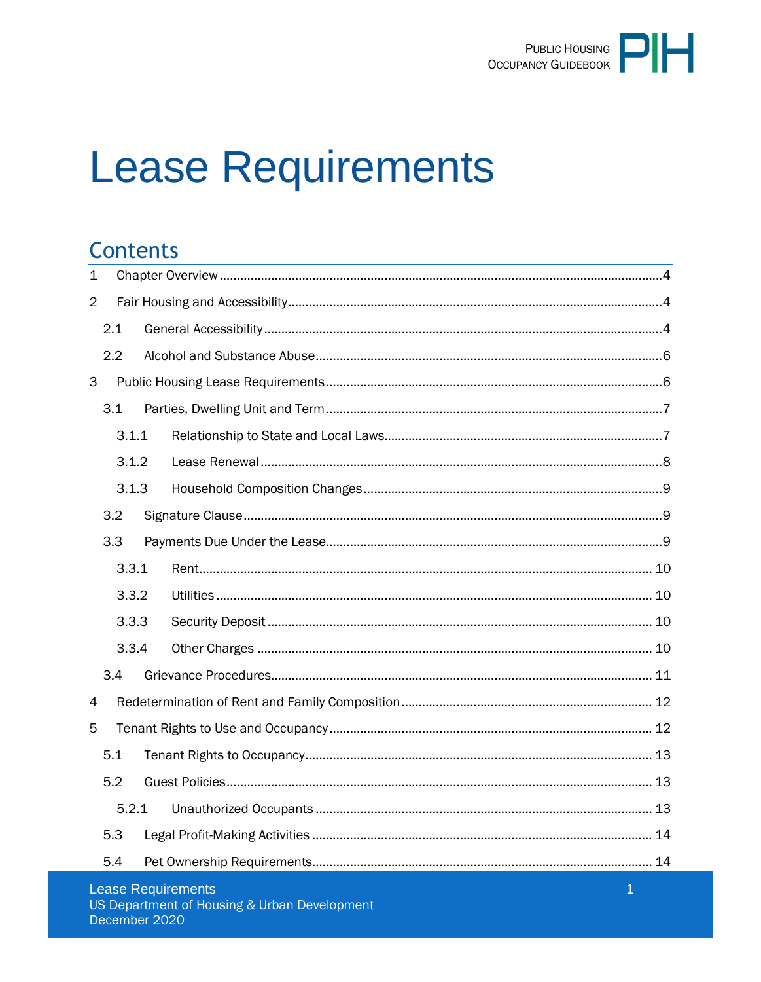

# **Lease Requirements**

### **Contents**

| $\mathbf 1$    |       |  |                    |             |  |  |  |
|----------------|-------|--|--------------------|-------------|--|--|--|
| $\overline{2}$ |       |  |                    |             |  |  |  |
|                | 2.1   |  |                    |             |  |  |  |
|                | 2.2   |  |                    |             |  |  |  |
| 3              |       |  |                    |             |  |  |  |
|                | 3.1   |  |                    |             |  |  |  |
|                | 3.1.1 |  |                    |             |  |  |  |
|                | 3.1.2 |  |                    |             |  |  |  |
|                | 3.1.3 |  |                    |             |  |  |  |
|                | 3.2   |  |                    |             |  |  |  |
|                | 3.3   |  |                    |             |  |  |  |
|                | 3.3.1 |  |                    |             |  |  |  |
|                | 3.3.2 |  |                    |             |  |  |  |
|                | 3.3.3 |  |                    |             |  |  |  |
|                | 3.3.4 |  |                    |             |  |  |  |
|                | 3.4   |  |                    |             |  |  |  |
| 4              |       |  |                    |             |  |  |  |
| 5              |       |  |                    |             |  |  |  |
|                | 5.1   |  |                    |             |  |  |  |
|                | 5.2   |  |                    |             |  |  |  |
|                | 5.2.1 |  |                    |             |  |  |  |
|                | 5.3   |  |                    |             |  |  |  |
|                | 5.4   |  |                    |             |  |  |  |
|                |       |  | Longo Dominionship | <b>CALC</b> |  |  |  |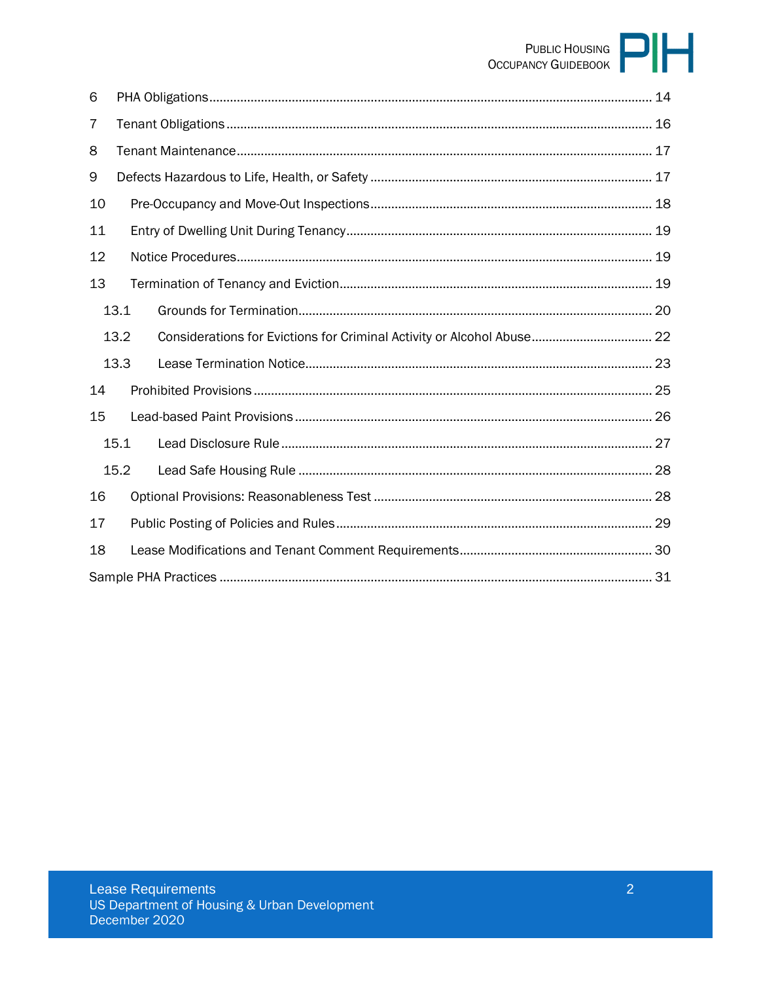# PUBLIC HOUSING

| 6    |      |  |  |  |  |  |
|------|------|--|--|--|--|--|
| 7    |      |  |  |  |  |  |
| 8    |      |  |  |  |  |  |
| 9    |      |  |  |  |  |  |
| 10   |      |  |  |  |  |  |
| 11   |      |  |  |  |  |  |
| 12   |      |  |  |  |  |  |
| 13   |      |  |  |  |  |  |
|      | 13.1 |  |  |  |  |  |
| 13.2 |      |  |  |  |  |  |
|      | 13.3 |  |  |  |  |  |
| 14   |      |  |  |  |  |  |
| 15   |      |  |  |  |  |  |
|      | 15.1 |  |  |  |  |  |
|      | 15.2 |  |  |  |  |  |
| 16   |      |  |  |  |  |  |
| 17   |      |  |  |  |  |  |
| 18   |      |  |  |  |  |  |
|      |      |  |  |  |  |  |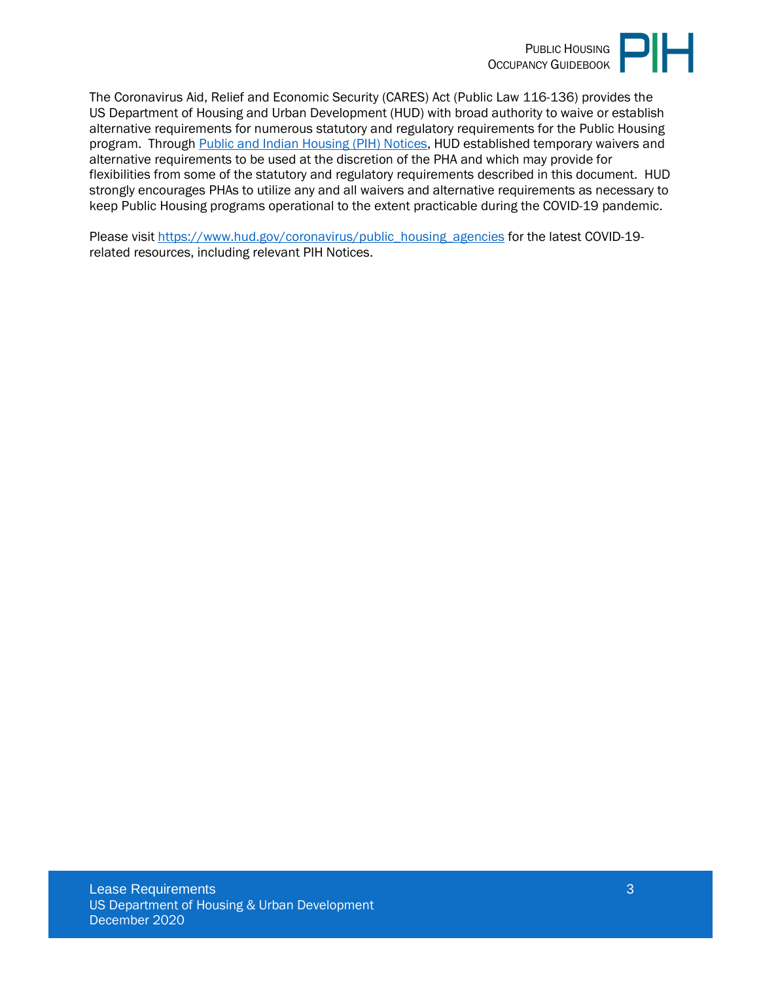

The Coronavirus Aid, Relief and Economic Security (CARES) Act (Public Law 116-136) provides the US Department of Housing and Urban Development (HUD) with broad authority to waive or establish alternative requirements for numerous statutory and regulatory requirements for the Public Housing program. Through [Public and Indian Housing \(PIH\) Notices,](https://www.hud.gov/program_offices/public_indian_housing/publications/notices) HUD established temporary waivers and alternative requirements to be used at the discretion of the PHA and which may provide for flexibilities from some of the statutory and regulatory requirements described in this document. HUD strongly encourages PHAs to utilize any and all waivers and alternative requirements as necessary to keep Public Housing programs operational to the extent practicable during the COVID-19 pandemic.

Please visit [https://www.hud.gov/coronavirus/public\\_housing\\_agencies](https://www.hud.gov/coronavirus/public_housing_agencies) for the latest COVID-19related resources, including relevant PIH Notices.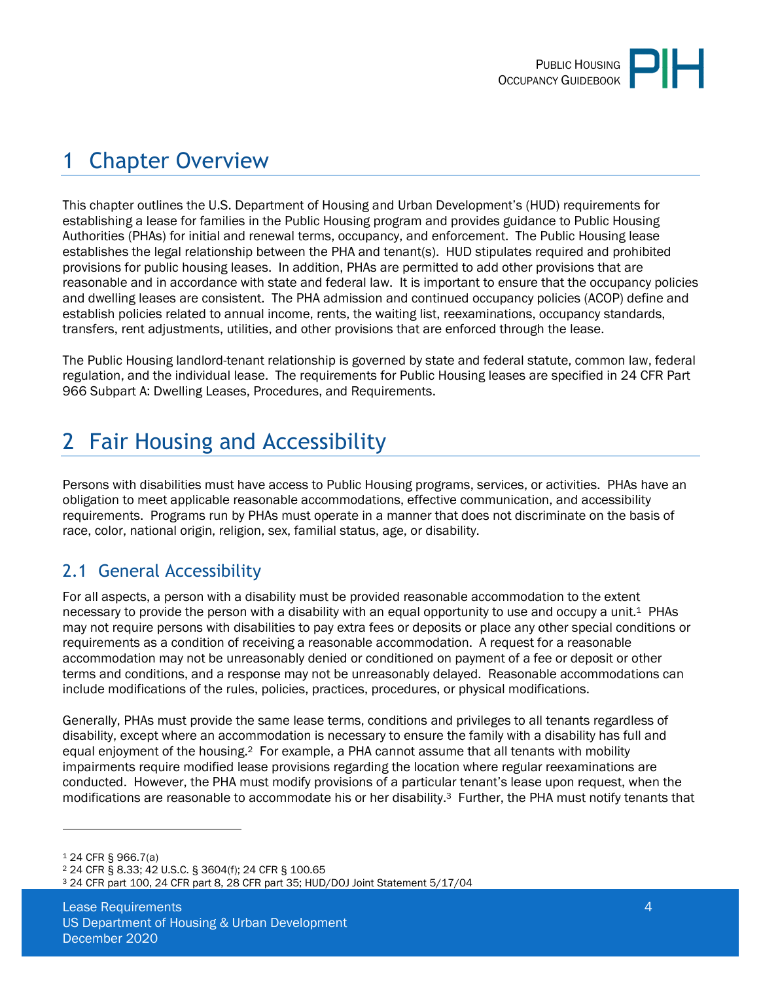

# <span id="page-3-0"></span>1 Chapter Overview

This chapter outlines the U.S. Department of Housing and Urban Development's (HUD) requirements for establishing a lease for families in the Public Housing program and provides guidance to Public Housing Authorities (PHAs) for initial and renewal terms, occupancy, and enforcement. The Public Housing lease establishes the legal relationship between the PHA and tenant(s). HUD stipulates required and prohibited provisions for public housing leases. In addition, PHAs are permitted to add other provisions that are reasonable and in accordance with state and federal law. It is important to ensure that the occupancy policies and dwelling leases are consistent. The PHA admission and continued occupancy policies (ACOP) define and establish policies related to annual income, rents, the waiting list, reexaminations, occupancy standards, transfers, rent adjustments, utilities, and other provisions that are enforced through the lease.

The Public Housing landlord-tenant relationship is governed by state and federal statute, common law, federal regulation, and the individual lease. The requirements for Public Housing leases are specified in 24 CFR Part 966 Subpart A: Dwelling Leases, Procedures, and Requirements.

# <span id="page-3-1"></span>2 Fair Housing and Accessibility

Persons with disabilities must have access to Public Housing programs, services, or activities. PHAs have an obligation to meet applicable reasonable accommodations, effective communication, and accessibility requirements. Programs run by PHAs must operate in a manner that does not discriminate on the basis of race, color, national origin, religion, sex, familial status, age, or disability.

### <span id="page-3-2"></span>2.1 General Accessibility

For all aspects, a person with a disability must be provided reasonable accommodation to the extent necessary to provide the person with a disability with an equal opportunity to use and occupy a unit.<sup>1</sup> PHAs may not require persons with disabilities to pay extra fees or deposits or place any other special conditions or requirements as a condition of receiving a reasonable accommodation. A request for a reasonable accommodation may not be unreasonably denied or conditioned on payment of a fee or deposit or other terms and conditions, and a response may not be unreasonably delayed. Reasonable accommodations can include modifications of the rules, policies, practices, procedures, or physical modifications.

Generally, PHAs must provide the same lease terms, conditions and privileges to all tenants regardless of disability, except where an accommodation is necessary to ensure the family with a disability has full and equal enjoyment of the housing.2 For example, a PHA cannot assume that all tenants with mobility impairments require modified lease provisions regarding the location where regular reexaminations are conducted. However, the PHA must modify provisions of a particular tenant's lease upon request, when the modifications are reasonable to accommodate his or her disability.3 Further, the PHA must notify tenants that

<sup>1</sup> 24 CFR § 966.7(a)

<sup>2</sup> 24 CFR § 8.33; 42 U.S.C. § 3604(f); 24 CFR § 100.65

<sup>3</sup> 24 CFR part 100, 24 CFR part 8, 28 CFR part 35; HUD/DOJ Joint Statement 5/17/04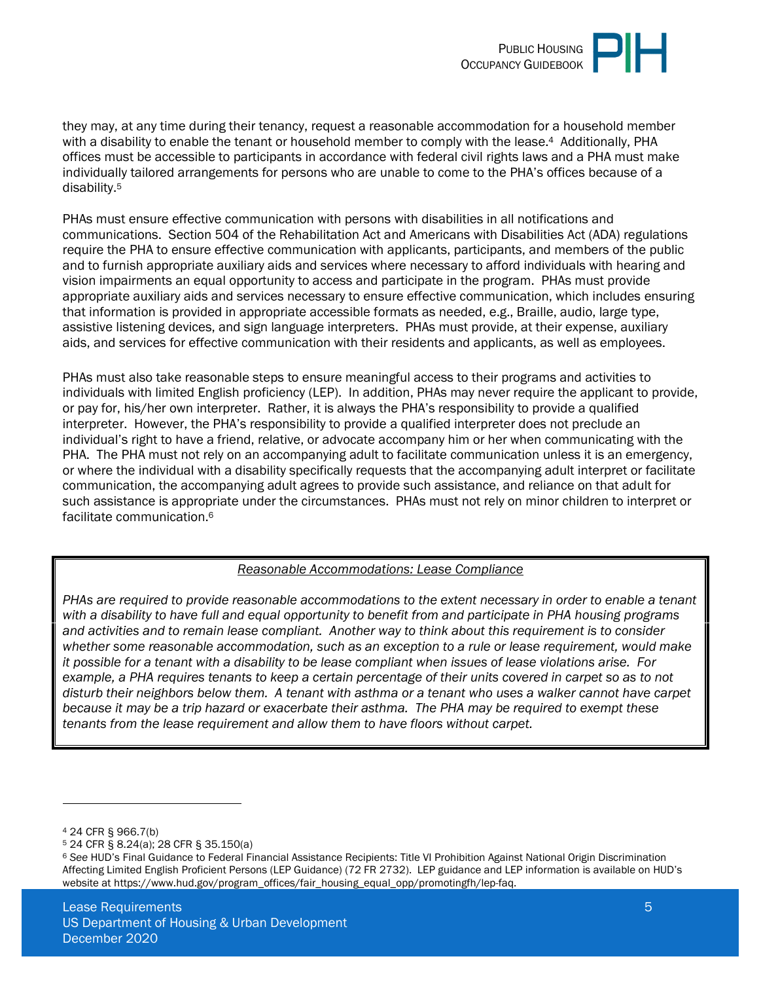

they may, at any time during their tenancy, request a reasonable accommodation for a household member with a disability to enable the tenant or household member to comply with the lease.<sup>4</sup> Additionally, PHA offices must be accessible to participants in accordance with federal civil rights laws and a PHA must make individually tailored arrangements for persons who are unable to come to the PHA's offices because of a disability.<sup>5</sup>

PHAs must ensure effective communication with persons with disabilities in all notifications and communications. Section 504 of the Rehabilitation Act and Americans with Disabilities Act (ADA) regulations require the PHA to ensure effective communication with applicants, participants, and members of the public and to furnish appropriate auxiliary aids and services where necessary to afford individuals with hearing and vision impairments an equal opportunity to access and participate in the program. PHAs must provide appropriate auxiliary aids and services necessary to ensure effective communication, which includes ensuring that information is provided in appropriate accessible formats as needed, e.g., Braille, audio, large type, assistive listening devices, and sign language interpreters. PHAs must provide, at their expense, auxiliary aids, and services for effective communication with their residents and applicants, as well as employees.

PHAs must also take reasonable steps to ensure meaningful access to their programs and activities to individuals with limited English proficiency (LEP). In addition, PHAs may never require the applicant to provide, or pay for, his/her own interpreter. Rather, it is always the PHA's responsibility to provide a qualified interpreter. However, the PHA's responsibility to provide a qualified interpreter does not preclude an individual's right to have a friend, relative, or advocate accompany him or her when communicating with the PHA. The PHA must not rely on an accompanying adult to facilitate communication unless it is an emergency, or where the individual with a disability specifically requests that the accompanying adult interpret or facilitate communication, the accompanying adult agrees to provide such assistance, and reliance on that adult for such assistance is appropriate under the circumstances. PHAs must not rely on minor children to interpret or facilitate communication.<sup>6</sup>

#### *Reasonable Accommodations: Lease Compliance*

*PHAs are required to provide reasonable accommodations to the extent necessary in order to enable a tenant with a disability to have full and equal opportunity to benefit from and participate in PHA housing programs and activities and to remain lease compliant. Another way to think about this requirement is to consider whether some reasonable accommodation, such as an exception to a rule or lease requirement, would make it possible for a tenant with a disability to be lease compliant when issues of lease violations arise. For example, a PHA requires tenants to keep a certain percentage of their units covered in carpet so as to not disturb their neighbors below them. A tenant with asthma or a tenant who uses a walker cannot have carpet because it may be a trip hazard or exacerbate their asthma. The PHA may be required to exempt these tenants from the lease requirement and allow them to have floors without carpet.* 

<sup>4</sup> 24 CFR § 966.7(b)

<sup>5</sup> 24 CFR § 8.24(a); 28 CFR § 35.150(a)

<sup>6</sup> *See* HUD's Final Guidance to Federal Financial Assistance Recipients: Title VI Prohibition Against National Origin Discrimination Affecting Limited English Proficient Persons (LEP Guidance) (72 FR 2732). LEP guidance and LEP information is available on HUD's website at https://www.hud.gov/program\_offices/fair\_housing\_equal\_opp/promotingfh/lep-faq.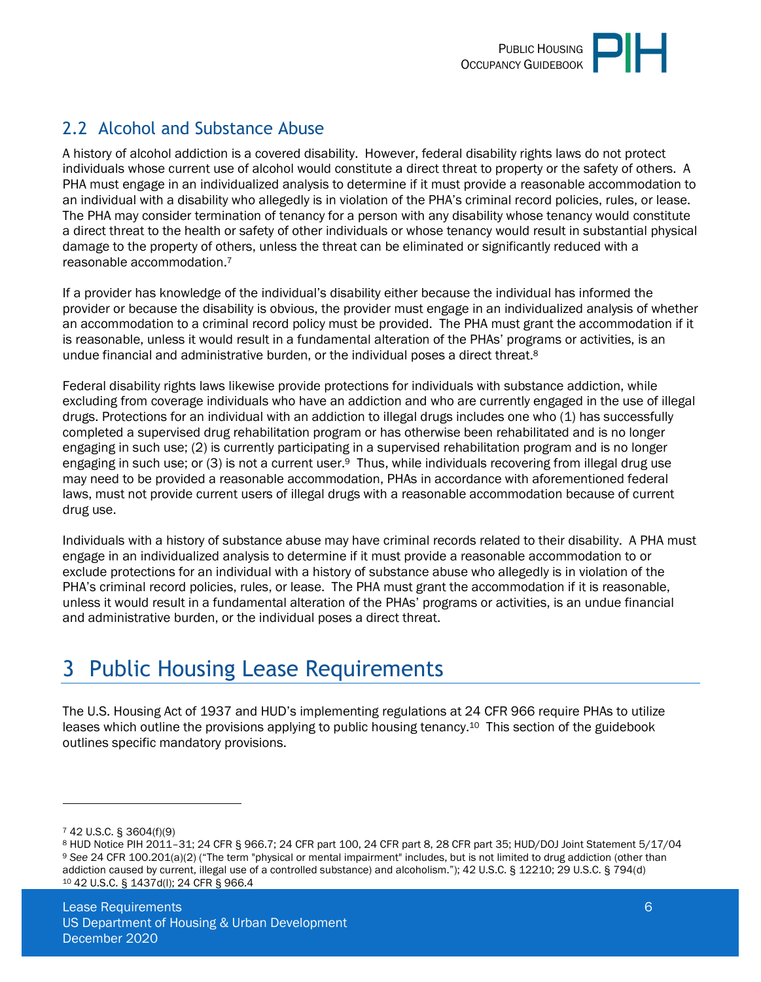

### <span id="page-5-0"></span>2.2 Alcohol and Substance Abuse

A history of alcohol addiction is a covered disability. However, federal disability rights laws do not protect individuals whose current use of alcohol would constitute a direct threat to property or the safety of others. A PHA must engage in an individualized analysis to determine if it must provide a reasonable accommodation to an individual with a disability who allegedly is in violation of the PHA's criminal record policies, rules, or lease. The PHA may consider termination of tenancy for a person with any disability whose tenancy would constitute a direct threat to the health or safety of other individuals or whose tenancy would result in substantial physical damage to the property of others, unless the threat can be eliminated or significantly reduced with a reasonable accommodation.<sup>7</sup>

If a provider has knowledge of the individual's disability either because the individual has informed the provider or because the disability is obvious, the provider must engage in an individualized analysis of whether an accommodation to a criminal record policy must be provided. The PHA must grant the accommodation if it is reasonable, unless it would result in a fundamental alteration of the PHAs' programs or activities, is an undue financial and administrative burden, or the individual poses a direct threat.<sup>8</sup>

Federal disability rights laws likewise provide protections for individuals with substance addiction, while excluding from coverage individuals who have an addiction and who are currently engaged in the use of illegal drugs. Protections for an individual with an addiction to illegal drugs includes one who (1) has successfully completed a supervised drug rehabilitation program or has otherwise been rehabilitated and is no longer engaging in such use; (2) is currently participating in a supervised rehabilitation program and is no longer engaging in such use; or (3) is not a current user.<sup>9</sup> Thus, while individuals recovering from illegal drug use may need to be provided a reasonable accommodation, PHAs in accordance with aforementioned federal laws, must not provide current users of illegal drugs with a reasonable accommodation because of current drug use.

Individuals with a history of substance abuse may have criminal records related to their disability. A PHA must engage in an individualized analysis to determine if it must provide a reasonable accommodation to or exclude protections for an individual with a history of substance abuse who allegedly is in violation of the PHA's criminal record policies, rules, or lease. The PHA must grant the accommodation if it is reasonable, unless it would result in a fundamental alteration of the PHAs' programs or activities, is an undue financial and administrative burden, or the individual poses a direct threat.

# <span id="page-5-1"></span>3 Public Housing Lease Requirements

The U.S. Housing Act of 1937 and HUD's implementing regulations at 24 CFR 966 require PHAs to utilize leases which outline the provisions applying to public housing tenancy.10 This section of the guidebook outlines specific mandatory provisions.

<sup>7</sup> 42 U.S.C. § 3604(f)(9)

<sup>8</sup> HUD Notice PIH 2011–31; 24 CFR § 966.7; 24 CFR part 100, 24 CFR part 8, 28 CFR part 35; HUD/DOJ Joint Statement 5/17/04 <sup>9</sup> *See* 24 CFR 100.201(a)(2) ("The term "physical or mental impairment" includes, but is not limited to drug addiction (other than addiction caused by current, illegal use of a controlled substance) and alcoholism."); 42 U.S.C. § 12210; 29 U.S.C. § 794(d) 10 42 U.S.C. § 1437d(l); 24 CFR § 966.4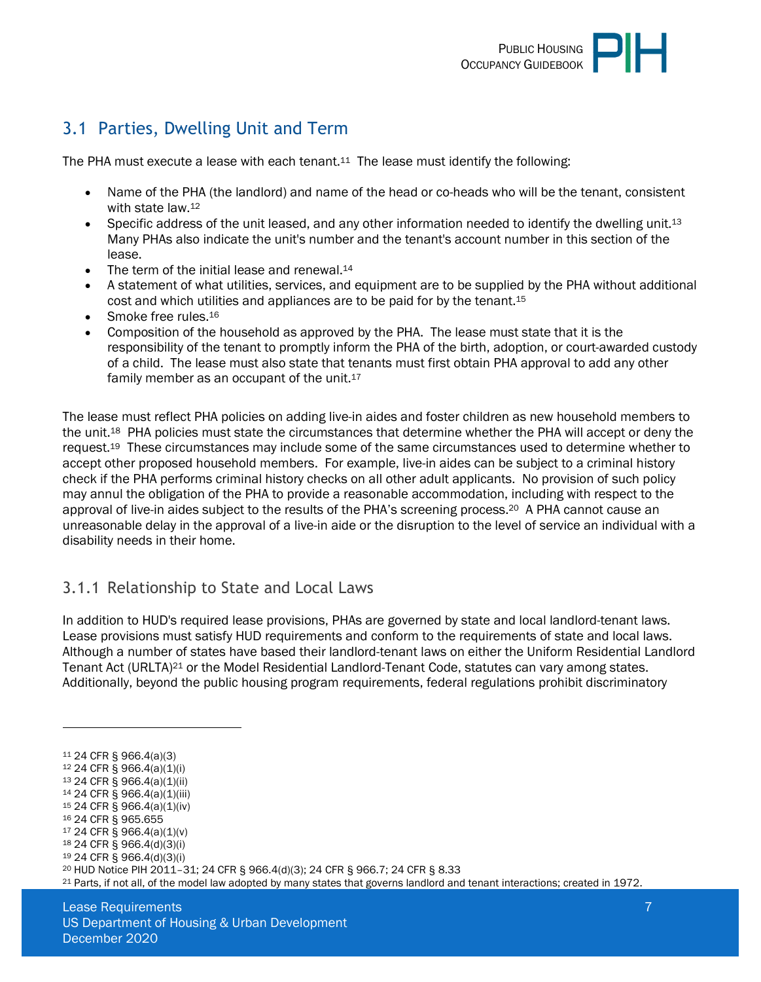### <span id="page-6-0"></span>3.1 Parties, Dwelling Unit and Term

The PHA must execute a lease with each tenant. $11$  The lease must identify the following:

- Name of the PHA (the landlord) and name of the head or co-heads who will be the tenant, consistent with state law.<sup>12</sup>
- Specific address of the unit leased, and any other information needed to identify the dwelling unit.<sup>13</sup> Many PHAs also indicate the unit's number and the tenant's account number in this section of the lease.
- $\bullet$  The term of the initial lease and renewal.<sup>14</sup>
- A statement of what utilities, services, and equipment are to be supplied by the PHA without additional cost and which utilities and appliances are to be paid for by the tenant.<sup>15</sup>
- Smoke free rules.<sup>16</sup>
- Composition of the household as approved by the PHA. The lease must state that it is the responsibility of the tenant to promptly inform the PHA of the birth, adoption, or court-awarded custody of a child. The lease must also state that tenants must first obtain PHA approval to add any other family member as an occupant of the unit.<sup>17</sup>

The lease must reflect PHA policies on adding live-in aides and foster children as new household members to the unit.18 PHA policies must state the circumstances that determine whether the PHA will accept or deny the request.19 These circumstances may include some of the same circumstances used to determine whether to accept other proposed household members. For example, live-in aides can be subject to a criminal history check if the PHA performs criminal history checks on all other adult applicants. No provision of such policy may annul the obligation of the PHA to provide a reasonable accommodation, including with respect to the approval of live-in aides subject to the results of the PHA's screening process.20 A PHA cannot cause an unreasonable delay in the approval of a live-in aide or the disruption to the level of service an individual with a disability needs in their home.

#### <span id="page-6-1"></span>3.1.1 Relationship to State and Local Laws

In addition to HUD's required lease provisions, PHAs are governed by state and local landlord-tenant laws. Lease provisions must satisfy HUD requirements and conform to the requirements of state and local laws. Although a number of states have based their landlord-tenant laws on either the Uniform Residential Landlord Tenant Act (URLTA)21 or the Model Residential Landlord-Tenant Code, statutes can vary among states. Additionally, beyond the public housing program requirements, federal regulations prohibit discriminatory

<sup>11</sup> 24 CFR § 966.4(a)(3)

- <sup>12</sup> 24 CFR § 966.4(a)(1)(i)
- <sup>13</sup> 24 CFR § 966.4(a)(1)(ii)
- <sup>14</sup> 24 CFR § 966.4(a)(1)(iii) <sup>15</sup> 24 CFR § 966.4(a)(1)(iv)
- <sup>16</sup> 24 CFR § 965.655
- <sup>17</sup> 24 CFR § 966.4(a)(1)(v)
- <sup>18</sup> 24 CFR § 966.4(d)(3)(i)
- <sup>19</sup> 24 CFR § 966.4(d)(3)(i)

<sup>20</sup> HUD Notice PIH 2011–31; 24 CFR § 966.4(d)(3); 24 CFR § 966.7; 24 CFR § 8.33

21 Parts, if not all, of the model law adopted by many states that governs landlord and tenant interactions; created in 1972.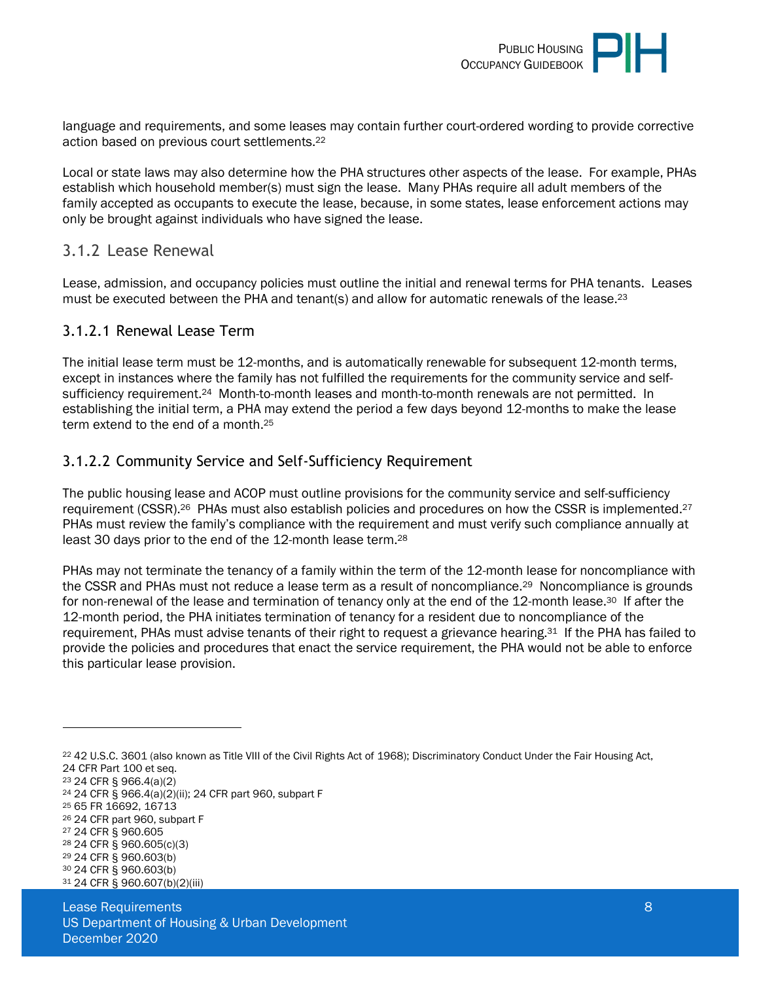

language and requirements, and some leases may contain further court-ordered wording to provide corrective action based on previous court settlements.<sup>22</sup>

Local or state laws may also determine how the PHA structures other aspects of the lease. For example, PHAs establish which household member(s) must sign the lease. Many PHAs require all adult members of the family accepted as occupants to execute the lease, because, in some states, lease enforcement actions may only be brought against individuals who have signed the lease.

#### <span id="page-7-0"></span>3.1.2 Lease Renewal

Lease, admission, and occupancy policies must outline the initial and renewal terms for PHA tenants. Leases must be executed between the PHA and tenant(s) and allow for automatic renewals of the lease.<sup>23</sup>

#### 3.1.2.1 Renewal Lease Term

The initial lease term must be 12-months, and is automatically renewable for subsequent 12-month terms, except in instances where the family has not fulfilled the requirements for the community service and selfsufficiency requirement.<sup>24</sup> Month-to-month leases and month-to-month renewals are not permitted. In establishing the initial term, a PHA may extend the period a few days beyond 12-months to make the lease term extend to the end of a month.<sup>25</sup>

#### 3.1.2.2 Community Service and Self-Sufficiency Requirement

The public housing lease and ACOP must outline provisions for the community service and self-sufficiency requirement (CSSR).26 PHAs must also establish policies and procedures on how the CSSR is implemented.<sup>27</sup> PHAs must review the family's compliance with the requirement and must verify such compliance annually at least 30 days prior to the end of the 12-month lease term.<sup>28</sup>

PHAs may not terminate the tenancy of a family within the term of the 12-month lease for noncompliance with the CSSR and PHAs must not reduce a lease term as a result of noncompliance.<sup>29</sup> Noncompliance is grounds for non-renewal of the lease and termination of tenancy only at the end of the 12-month lease.<sup>30</sup> If after the 12-month period, the PHA initiates termination of tenancy for a resident due to noncompliance of the requirement, PHAs must advise tenants of their right to request a grievance hearing.31 If the PHA has failed to provide the policies and procedures that enact the service requirement, the PHA would not be able to enforce this particular lease provision.

<sup>22</sup> 42 U.S.C. 3601 (also known as Title VIII of the Civil Rights Act of 1968); Discriminatory Conduct Under the Fair Housing Act, 24 CFR Part 100 et seq.

<sup>23</sup> 24 CFR § 966.4(a)(2)

<sup>24</sup> 24 CFR § 966.4(a)(2)(ii); 24 CFR part 960, subpart F

<sup>25</sup> 65 FR 16692, 16713

<sup>26</sup> 24 CFR part 960, subpart F <sup>27</sup> 24 CFR § 960.605

<sup>28</sup> 24 CFR § 960.605(c)(3)

<sup>29</sup> 24 CFR § 960.603(b)

<sup>30</sup> 24 CFR § 960.603(b)

<sup>31</sup> 24 CFR § 960.607(b)(2)(iii)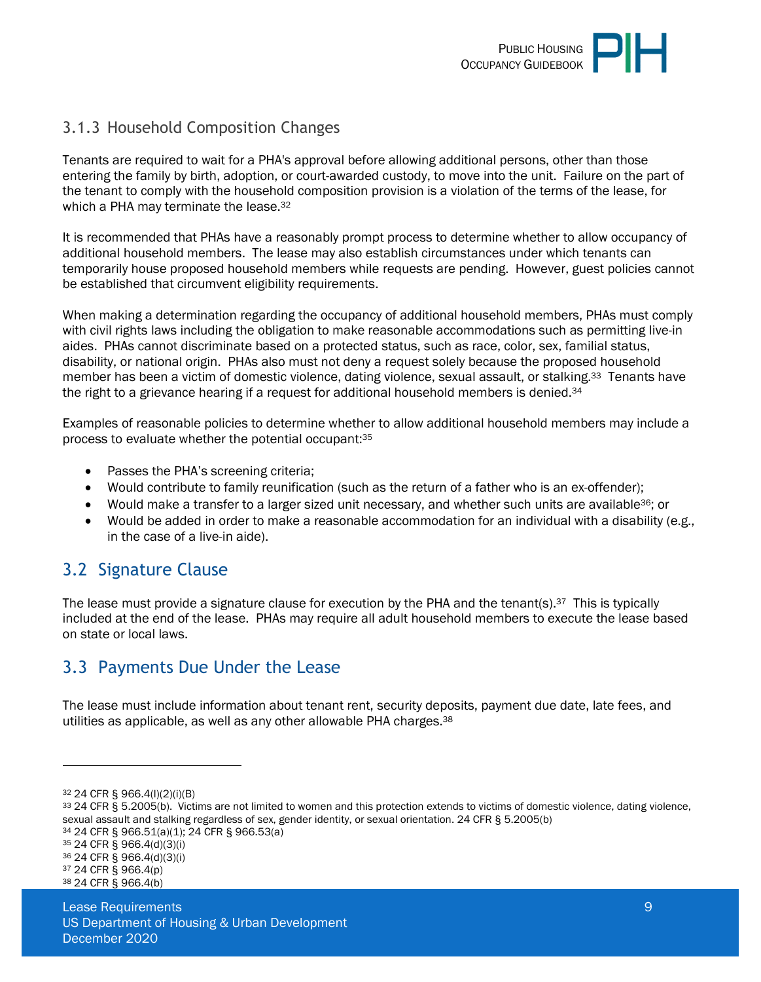### <span id="page-8-0"></span>3.1.3 Household Composition Changes

Tenants are required to wait for a PHA's approval before allowing additional persons, other than those entering the family by birth, adoption, or court-awarded custody, to move into the unit. Failure on the part of the tenant to comply with the household composition provision is a violation of the terms of the lease, for which a PHA may terminate the lease.<sup>32</sup>

It is recommended that PHAs have a reasonably prompt process to determine whether to allow occupancy of additional household members. The lease may also establish circumstances under which tenants can temporarily house proposed household members while requests are pending. However, guest policies cannot be established that circumvent eligibility requirements.

When making a determination regarding the occupancy of additional household members, PHAs must comply with civil rights laws including the obligation to make reasonable accommodations such as permitting live-in aides. PHAs cannot discriminate based on a protected status, such as race, color, sex, familial status, disability, or national origin. PHAs also must not deny a request solely because the proposed household member has been a victim of domestic violence, dating violence, sexual assault, or stalking.33 Tenants have the right to a grievance hearing if a request for additional household members is denied.<sup>34</sup>

Examples of reasonable policies to determine whether to allow additional household members may include a process to evaluate whether the potential occupant:<sup>35</sup>

- Passes the PHA's screening criteria;
- Would contribute to family reunification (such as the return of a father who is an ex-offender);
- Would make a transfer to a larger sized unit necessary, and whether such units are available<sup>36</sup>; or
- Would be added in order to make a reasonable accommodation for an individual with a disability (e.g., in the case of a live-in aide).

### <span id="page-8-1"></span>3.2 Signature Clause

The lease must provide a signature clause for execution by the PHA and the tenant(s).<sup>37</sup> This is typically included at the end of the lease. PHAs may require all adult household members to execute the lease based on state or local laws.

### <span id="page-8-2"></span>3.3 Payments Due Under the Lease

The lease must include information about tenant rent, security deposits, payment due date, late fees, and utilities as applicable, as well as any other allowable PHA charges.<sup>38</sup>

<sup>32</sup> 24 CFR § 966.4(l)(2)(i)(B)

<sup>33</sup> 24 CFR § 5.2005(b). Victims are not limited to women and this protection extends to victims of domestic violence, dating violence, sexual assault and stalking regardless of sex, gender identity, or sexual orientation. 24 CFR § 5.2005(b)

<sup>34</sup> 24 CFR § 966.51(a)(1); 24 CFR § 966.53(a)

<sup>35</sup> 24 CFR § 966.4(d)(3)(i)

<sup>36</sup> 24 CFR § 966.4(d)(3)(i)

<sup>37</sup> 24 CFR § 966.4(p) 38 24 CFR § 966.4(b)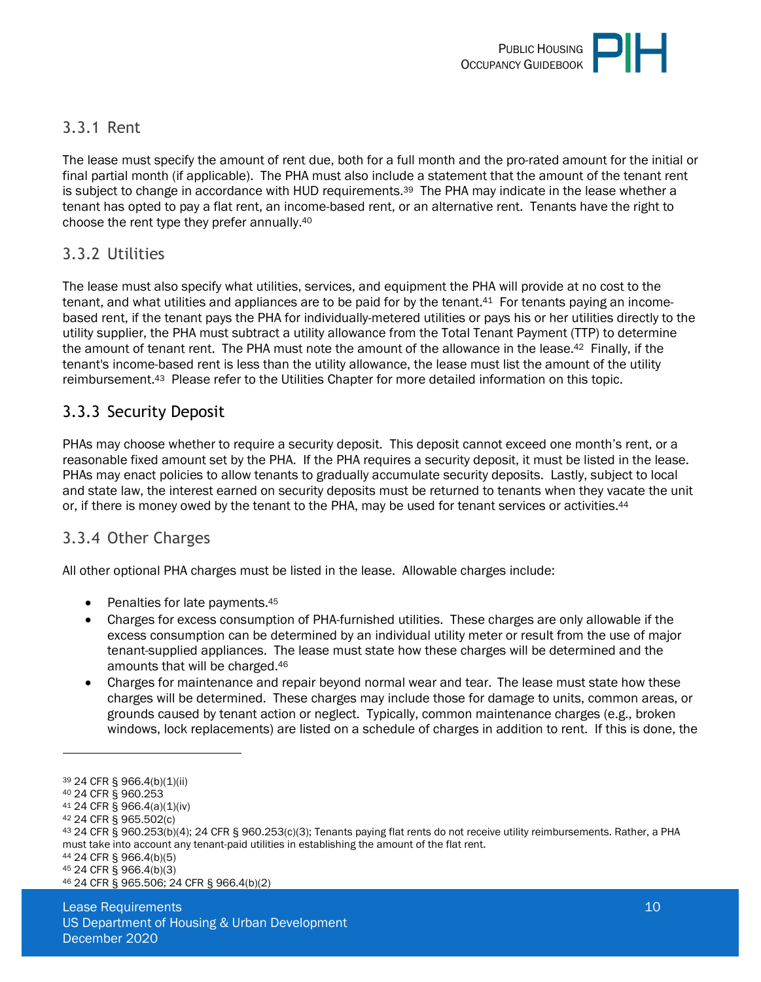

#### <span id="page-9-0"></span>3.3.1 Rent

The lease must specify the amount of rent due, both for a full month and the pro-rated amount for the initial or final partial month (if applicable). The PHA must also include a statement that the amount of the tenant rent is subject to change in accordance with HUD requirements.39 The PHA may indicate in the lease whether a tenant has opted to pay a flat rent, an income-based rent, or an alternative rent. Tenants have the right to choose the rent type they prefer annually.<sup>40</sup>

#### <span id="page-9-1"></span>3.3.2 Utilities

The lease must also specify what utilities, services, and equipment the PHA will provide at no cost to the tenant, and what utilities and appliances are to be paid for by the tenant.<sup>41</sup> For tenants paying an incomebased rent, if the tenant pays the PHA for individually-metered utilities or pays his or her utilities directly to the utility supplier, the PHA must subtract a utility allowance from the Total Tenant Payment (TTP) to determine the amount of tenant rent. The PHA must note the amount of the allowance in the lease.<sup>42</sup> Finally, if the tenant's income-based rent is less than the utility allowance, the lease must list the amount of the utility reimbursement.43 Please refer to the Utilities Chapter for more detailed information on this topic.

### <span id="page-9-2"></span>3.3.3 Security Deposit

PHAs may choose whether to require a security deposit. This deposit cannot exceed one month's rent, or a reasonable fixed amount set by the PHA. If the PHA requires a security deposit, it must be listed in the lease. PHAs may enact policies to allow tenants to gradually accumulate security deposits. Lastly, subject to local and state law, the interest earned on security deposits must be returned to tenants when they vacate the unit or, if there is money owed by the tenant to the PHA, may be used for tenant services or activities.<sup>44</sup>

#### <span id="page-9-3"></span>3.3.4 Other Charges

All other optional PHA charges must be listed in the lease. Allowable charges include:

- $\bullet$  Penalties for late payments.  $45$
- Charges for excess consumption of PHA-furnished utilities. These charges are only allowable if the excess consumption can be determined by an individual utility meter or result from the use of major tenant-supplied appliances. The lease must state how these charges will be determined and the amounts that will be charged.<sup>46</sup>
- Charges for maintenance and repair beyond normal wear and tear. The lease must state how these charges will be determined. These charges may include those for damage to units, common areas, or grounds caused by tenant action or neglect. Typically, common maintenance charges (e.g., broken windows, lock replacements) are listed on a schedule of charges in addition to rent. If this is done, the

46 24 CFR § 965.506; 24 CFR § 966.4(b)(2)

<sup>39</sup> 24 CFR § 966.4(b)(1)(ii)

<sup>40</sup> 24 CFR § 960.253

<sup>41</sup> 24 CFR § 966.4(a)(1)(iv)

<sup>42</sup> 24 CFR § 965.502(c)

<sup>43</sup> 24 CFR § 960.253(b)(4); 24 CFR § 960.253(c)(3); Tenants paying flat rents do not receive utility reimbursements. Rather, a PHA must take into account any tenant-paid utilities in establishing the amount of the flat rent.

<sup>44</sup> 24 CFR § 966.4(b)(5)

<sup>45</sup> 24 CFR § 966.4(b)(3)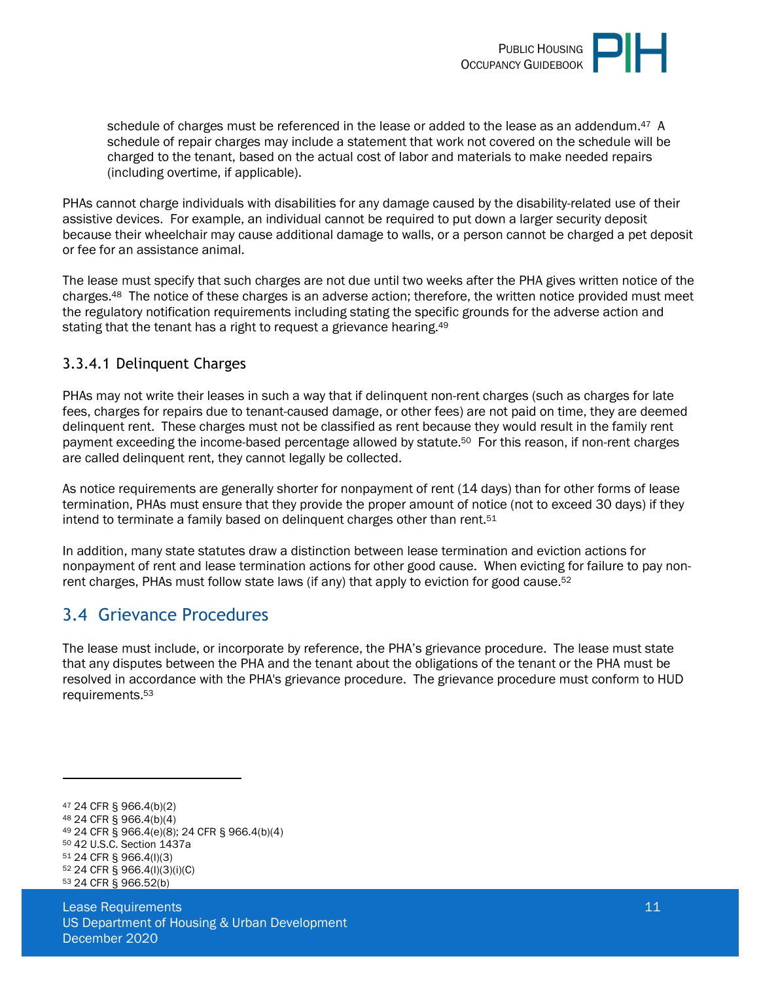

schedule of charges must be referenced in the lease or added to the lease as an addendum.<sup>47</sup> A schedule of repair charges may include a statement that work not covered on the schedule will be charged to the tenant, based on the actual cost of labor and materials to make needed repairs (including overtime, if applicable).

PHAs cannot charge individuals with disabilities for any damage caused by the disability-related use of their assistive devices. For example, an individual cannot be required to put down a larger security deposit because their wheelchair may cause additional damage to walls, or a person cannot be charged a pet deposit or fee for an assistance animal.

The lease must specify that such charges are not due until two weeks after the PHA gives written notice of the charges.48 The notice of these charges is an adverse action; therefore, the written notice provided must meet the regulatory notification requirements including stating the specific grounds for the adverse action and stating that the tenant has a right to request a grievance hearing.<sup>49</sup>

#### 3.3.4.1 Delinquent Charges

PHAs may not write their leases in such a way that if delinquent non-rent charges (such as charges for late fees, charges for repairs due to tenant-caused damage, or other fees) are not paid on time, they are deemed delinquent rent. These charges must not be classified as rent because they would result in the family rent payment exceeding the income-based percentage allowed by statute.50 For this reason, if non-rent charges are called delinquent rent, they cannot legally be collected.

As notice requirements are generally shorter for nonpayment of rent (14 days) than for other forms of lease termination, PHAs must ensure that they provide the proper amount of notice (not to exceed 30 days) if they intend to terminate a family based on delinguent charges other than rent.<sup>51</sup>

In addition, many state statutes draw a distinction between lease termination and eviction actions for nonpayment of rent and lease termination actions for other good cause. When evicting for failure to pay nonrent charges, PHAs must follow state laws (if any) that apply to eviction for good cause.<sup>52</sup>

### <span id="page-10-0"></span>3.4 Grievance Procedures

The lease must include, or incorporate by reference, the PHA's grievance procedure. The lease must state that any disputes between the PHA and the tenant about the obligations of the tenant or the PHA must be resolved in accordance with the PHA's grievance procedure. The grievance procedure must conform to HUD requirements.<sup>53</sup>

 24 CFR § 966.4(b)(2) 24 CFR § 966.4(b)(4) 24 CFR § 966.4(e)(8); 24 CFR § 966.4(b)(4) 42 U.S.C. Section 1437a 24 CFR § 966.4(l)(3) 24 CFR § 966.4(l)(3)(i)(C) 24 CFR § 966.52(b)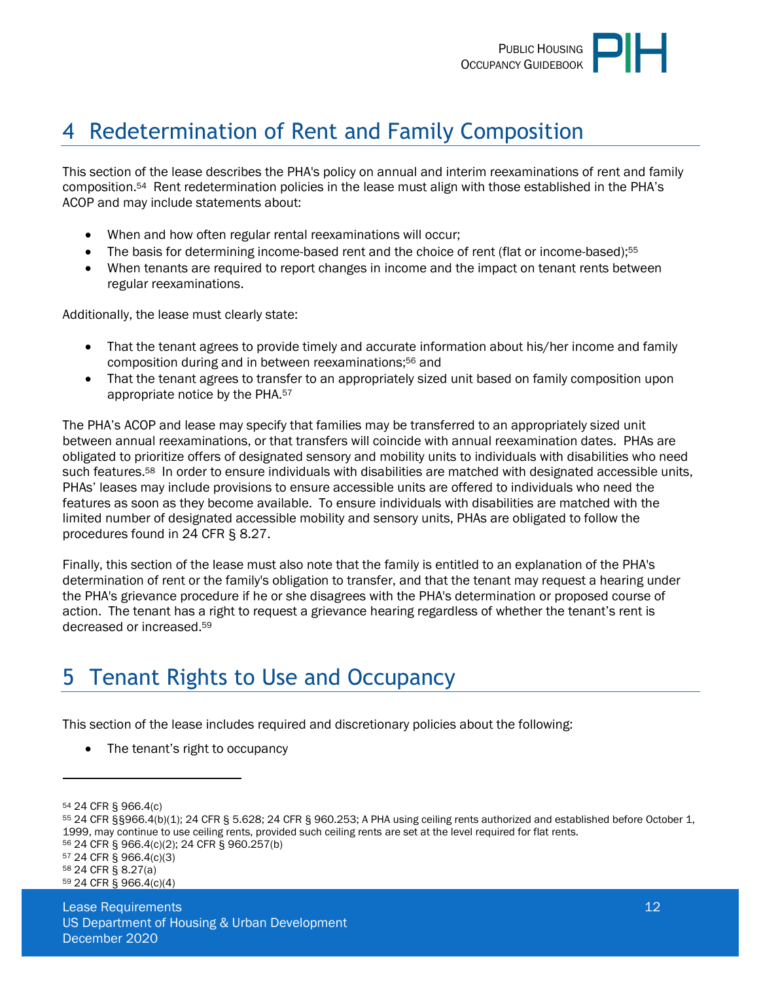

# <span id="page-11-0"></span>4 Redetermination of Rent and Family Composition

This section of the lease describes the PHA's policy on annual and interim reexaminations of rent and family composition.54 Rent redetermination policies in the lease must align with those established in the PHA's ACOP and may include statements about:

- When and how often regular rental reexaminations will occur;
- The basis for determining income-based rent and the choice of rent (flat or income-based);<sup>55</sup>
- When tenants are required to report changes in income and the impact on tenant rents between regular reexaminations.

Additionally, the lease must clearly state:

- That the tenant agrees to provide timely and accurate information about his/her income and family composition during and in between reexaminations;56 and
- That the tenant agrees to transfer to an appropriately sized unit based on family composition upon appropriate notice by the PHA.<sup>57</sup>

The PHA's ACOP and lease may specify that families may be transferred to an appropriately sized unit between annual reexaminations, or that transfers will coincide with annual reexamination dates. PHAs are obligated to prioritize offers of designated sensory and mobility units to individuals with disabilities who need such features.58 In order to ensure individuals with disabilities are matched with designated accessible units, PHAs' leases may include provisions to ensure accessible units are offered to individuals who need the features as soon as they become available. To ensure individuals with disabilities are matched with the limited number of designated accessible mobility and sensory units, PHAs are obligated to follow the procedures found in 24 CFR § 8.27.

Finally, this section of the lease must also note that the family is entitled to an explanation of the PHA's determination of rent or the family's obligation to transfer, and that the tenant may request a hearing under the PHA's grievance procedure if he or she disagrees with the PHA's determination or proposed course of action. The tenant has a right to request a grievance hearing regardless of whether the tenant's rent is decreased or increased.<sup>59</sup>

# <span id="page-11-1"></span>5 Tenant Rights to Use and Occupancy

This section of the lease includes required and discretionary policies about the following:

The tenant's right to occupancy

<sup>54</sup> 24 CFR § 966.4(c)

<sup>55</sup> 24 CFR §§966.4(b)(1); 24 CFR § 5.628; 24 CFR § 960.253; A PHA using ceiling rents authorized and established before October 1, 1999, may continue to use ceiling rents, provided such ceiling rents are set at the level required for flat rents.

<sup>56</sup> 24 CFR § 966.4(c)(2); 24 CFR § 960.257(b) <sup>57</sup> 24 CFR § 966.4(c)(3)

<sup>58</sup> 24 CFR § 8.27(a)

<sup>59</sup> 24 CFR § 966.4(c)(4)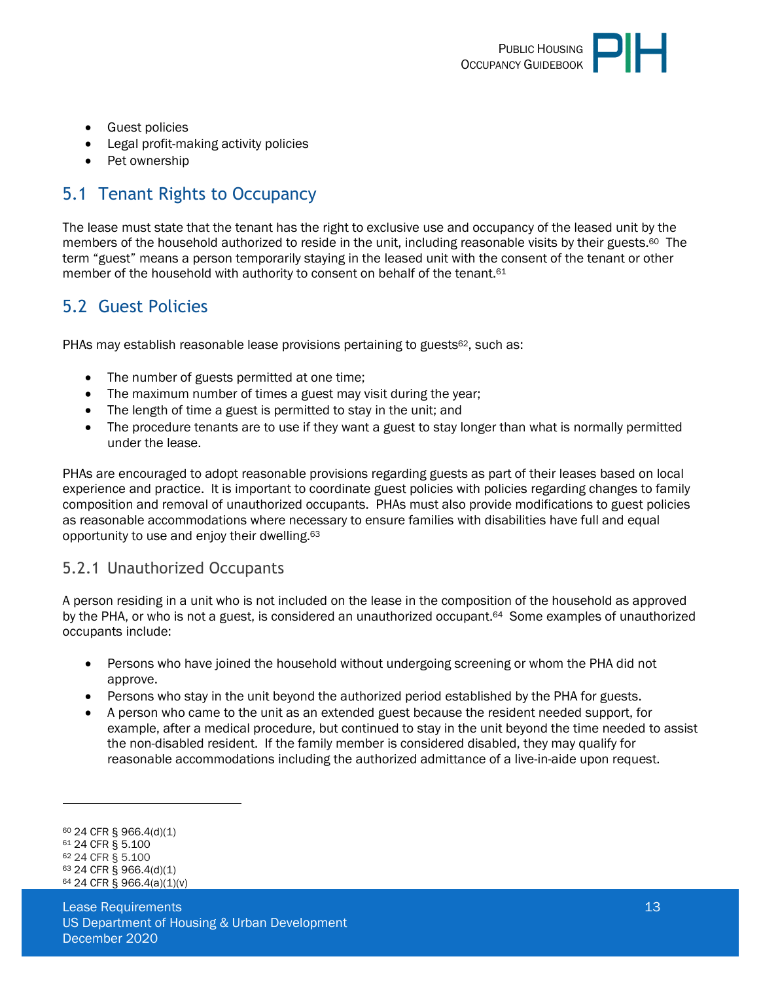

- **•** Guest policies
- Legal profit-making activity policies
- Pet ownership

### <span id="page-12-0"></span>5.1 Tenant Rights to Occupancy

The lease must state that the tenant has the right to exclusive use and occupancy of the leased unit by the members of the household authorized to reside in the unit, including reasonable visits by their guests.60 The term "guest" means a person temporarily staying in the leased unit with the consent of the tenant or other member of the household with authority to consent on behalf of the tenant.<sup>61</sup>

### <span id="page-12-1"></span>5.2 Guest Policies

PHAs may establish reasonable lease provisions pertaining to guests $62$ , such as:

- The number of guests permitted at one time;
- The maximum number of times a guest may visit during the year:
- The length of time a guest is permitted to stay in the unit; and
- The procedure tenants are to use if they want a guest to stay longer than what is normally permitted under the lease.

PHAs are encouraged to adopt reasonable provisions regarding guests as part of their leases based on local experience and practice. It is important to coordinate guest policies with policies regarding changes to family composition and removal of unauthorized occupants. PHAs must also provide modifications to guest policies as reasonable accommodations where necessary to ensure families with disabilities have full and equal opportunity to use and enjoy their dwelling.<sup>63</sup>

#### <span id="page-12-2"></span>5.2.1 Unauthorized Occupants

A person residing in a unit who is not included on the lease in the composition of the household as approved by the PHA, or who is not a guest, is considered an unauthorized occupant.<sup>64</sup> Some examples of unauthorized occupants include:

- Persons who have joined the household without undergoing screening or whom the PHA did not approve.
- Persons who stay in the unit beyond the authorized period established by the PHA for guests.
- A person who came to the unit as an extended guest because the resident needed support, for example, after a medical procedure, but continued to stay in the unit beyond the time needed to assist the non-disabled resident. If the family member is considered disabled, they may qualify for reasonable accommodations including the authorized admittance of a live-in-aide upon request.

<sup>60</sup> 24 CFR § 966.4(d)(1) <sup>61</sup> 24 CFR § 5.100

<sup>62</sup> 24 CFR § 5.100

<sup>63</sup> 24 CFR § 966.4(d)(1)

<sup>64</sup> 24 CFR § 966.4(a)(1)(v)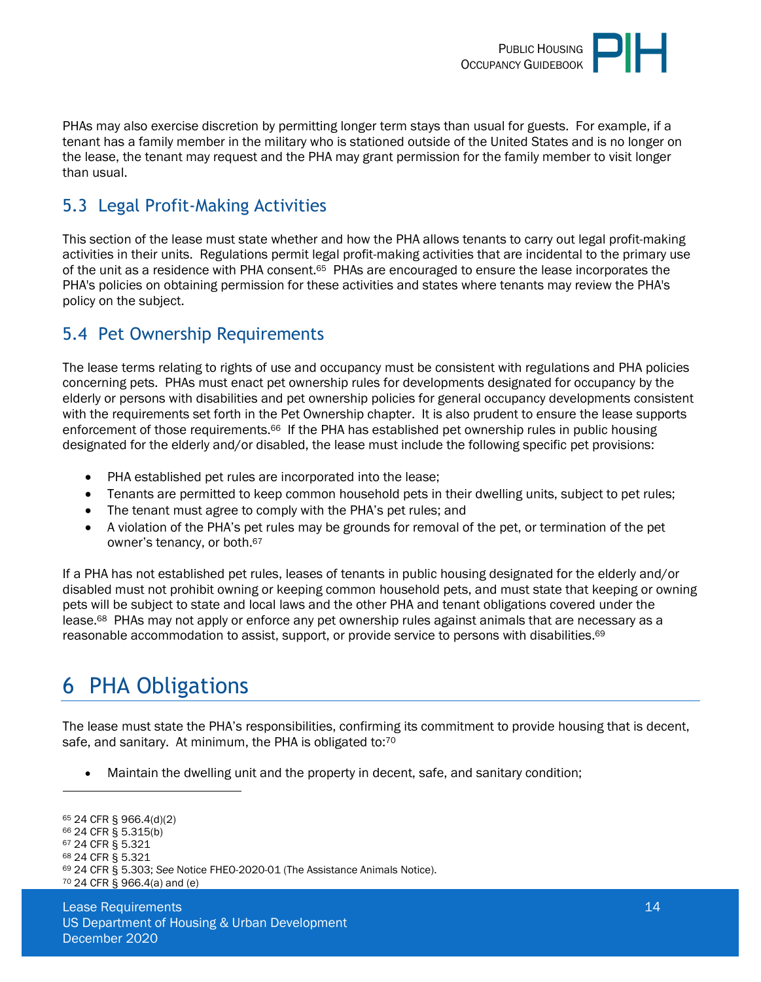

PHAs may also exercise discretion by permitting longer term stays than usual for guests. For example, if a tenant has a family member in the military who is stationed outside of the United States and is no longer on the lease, the tenant may request and the PHA may grant permission for the family member to visit longer than usual.

### <span id="page-13-0"></span>5.3 Legal Profit-Making Activities

This section of the lease must state whether and how the PHA allows tenants to carry out legal profit-making activities in their units. Regulations permit legal profit-making activities that are incidental to the primary use of the unit as a residence with PHA consent.65 PHAs are encouraged to ensure the lease incorporates the PHA's policies on obtaining permission for these activities and states where tenants may review the PHA's policy on the subject.

### <span id="page-13-1"></span>5.4 Pet Ownership Requirements

The lease terms relating to rights of use and occupancy must be consistent with regulations and PHA policies concerning pets. PHAs must enact pet ownership rules for developments designated for occupancy by the elderly or persons with disabilities and pet ownership policies for general occupancy developments consistent with the requirements set forth in the Pet Ownership chapter. It is also prudent to ensure the lease supports enforcement of those requirements.<sup>66</sup> If the PHA has established pet ownership rules in public housing designated for the elderly and/or disabled, the lease must include the following specific pet provisions:

- PHA established pet rules are incorporated into the lease;
- Tenants are permitted to keep common household pets in their dwelling units, subject to pet rules;
- The tenant must agree to comply with the PHA's pet rules; and
- A violation of the PHA's pet rules may be grounds for removal of the pet, or termination of the pet owner's tenancy, or both.<sup>67</sup>

If a PHA has not established pet rules, leases of tenants in public housing designated for the elderly and/or disabled must not prohibit owning or keeping common household pets, and must state that keeping or owning pets will be subject to state and local laws and the other PHA and tenant obligations covered under the lease.68 PHAs may not apply or enforce any pet ownership rules against animals that are necessary as a reasonable accommodation to assist, support, or provide service to persons with disabilities.<sup>69</sup>

# <span id="page-13-2"></span>6 PHA Obligations

The lease must state the PHA's responsibilities, confirming its commitment to provide housing that is decent, safe, and sanitary. At minimum, the PHA is obligated to:<sup>70</sup>

Maintain the dwelling unit and the property in decent, safe, and sanitary condition;

```
65 24 CFR § 966.4(d)(2) 
66 24 CFR § 5.315(b) 
67 24 CFR § 5.321 
68 24 CFR § 5.321 
69 24 CFR § 5.303; See Notice FHEO-2020-01 (The Assistance Animals Notice). 
70 24 CFR § 966.4(a) and (e)
```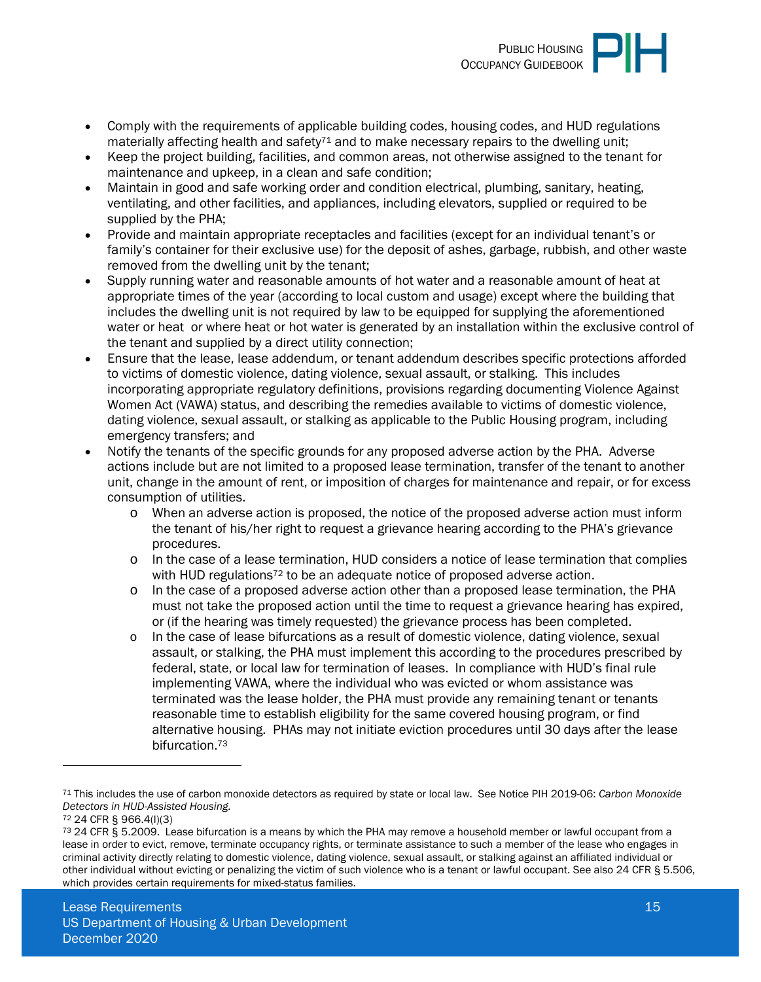

- Comply with the requirements of applicable building codes, housing codes, and HUD regulations materially affecting health and safety<sup>71</sup> and to make necessary repairs to the dwelling unit;
- Keep the project building, facilities, and common areas, not otherwise assigned to the tenant for maintenance and upkeep, in a clean and safe condition;
- Maintain in good and safe working order and condition electrical, plumbing, sanitary, heating, ventilating, and other facilities, and appliances, including elevators, supplied or required to be supplied by the PHA;
- Provide and maintain appropriate receptacles and facilities (except for an individual tenant's or family's container for their exclusive use) for the deposit of ashes, garbage, rubbish, and other waste removed from the dwelling unit by the tenant;
- Supply running water and reasonable amounts of hot water and a reasonable amount of heat at appropriate times of the year (according to local custom and usage) except where the building that includes the dwelling unit is not required by law to be equipped for supplying the aforementioned water or heat or where heat or hot water is generated by an installation within the exclusive control of the tenant and supplied by a direct utility connection;
- Ensure that the lease, lease addendum, or tenant addendum describes specific protections afforded to victims of domestic violence, dating violence, sexual assault, or stalking. This includes incorporating appropriate regulatory definitions, provisions regarding documenting Violence Against Women Act (VAWA) status, and describing the remedies available to victims of domestic violence, dating violence, sexual assault, or stalking as applicable to the Public Housing program, including emergency transfers; and
- Notify the tenants of the specific grounds for any proposed adverse action by the PHA. Adverse actions include but are not limited to a proposed lease termination, transfer of the tenant to another unit, change in the amount of rent, or imposition of charges for maintenance and repair, or for excess consumption of utilities.
	- o When an adverse action is proposed, the notice of the proposed adverse action must inform the tenant of his/her right to request a grievance hearing according to the PHA's grievance procedures.
	- o In the case of a lease termination, HUD considers a notice of lease termination that complies with HUD regulations<sup>72</sup> to be an adequate notice of proposed adverse action.
	- o In the case of a proposed adverse action other than a proposed lease termination, the PHA must not take the proposed action until the time to request a grievance hearing has expired, or (if the hearing was timely requested) the grievance process has been completed.
	- o In the case of lease bifurcations as a result of domestic violence, dating violence, sexual assault, or stalking, the PHA must implement this according to the procedures prescribed by federal, state, or local law for termination of leases. In compliance with HUD's final rule implementing VAWA, where the individual who was evicted or whom assistance was terminated was the lease holder, the PHA must provide any remaining tenant or tenants reasonable time to establish eligibility for the same covered housing program, or find alternative housing. PHAs may not initiate eviction procedures until 30 days after the lease bifurcation.<sup>73</sup>

<sup>71</sup> This includes the use of carbon monoxide detectors as required by state or local law. See Notice PIH 2019-06: *Carbon Monoxide Detectors in HUD-Assisted Housing.* 

<sup>72</sup> 24 CFR § 966.4(l)(3)

<sup>&</sup>lt;sup>73</sup> 24 CFR § 5.2009. Lease bifurcation is a means by which the PHA may remove a household member or lawful occupant from a lease in order to evict, remove, terminate occupancy rights, or terminate assistance to such a member of the lease who engages in criminal activity directly relating to domestic violence, dating violence, sexual assault, or stalking against an affiliated individual or other individual without evicting or penalizing the victim of such violence who is a tenant or lawful occupant. See also 24 CFR § 5.506, which provides certain requirements for mixed-status families.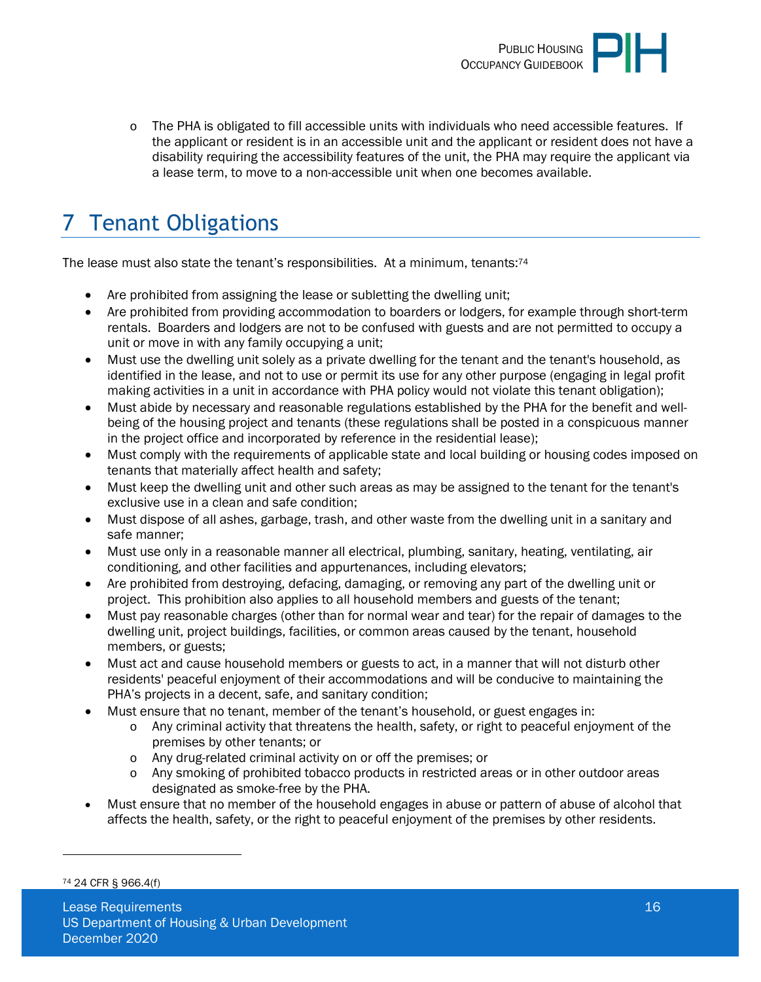

o The PHA is obligated to fill accessible units with individuals who need accessible features. If the applicant or resident is in an accessible unit and the applicant or resident does not have a disability requiring the accessibility features of the unit, the PHA may require the applicant via a lease term, to move to a non-accessible unit when one becomes available.

# <span id="page-15-0"></span>7 Tenant Obligations

The lease must also state the tenant's responsibilities. At a minimum, tenants:<sup>74</sup>

- Are prohibited from assigning the lease or subletting the dwelling unit;
- Are prohibited from providing accommodation to boarders or lodgers, for example through short-term rentals. Boarders and lodgers are not to be confused with guests and are not permitted to occupy a unit or move in with any family occupying a unit;
- Must use the dwelling unit solely as a private dwelling for the tenant and the tenant's household, as identified in the lease, and not to use or permit its use for any other purpose (engaging in legal profit making activities in a unit in accordance with PHA policy would not violate this tenant obligation);
- Must abide by necessary and reasonable regulations established by the PHA for the benefit and wellbeing of the housing project and tenants (these regulations shall be posted in a conspicuous manner in the project office and incorporated by reference in the residential lease);
- Must comply with the requirements of applicable state and local building or housing codes imposed on tenants that materially affect health and safety;
- Must keep the dwelling unit and other such areas as may be assigned to the tenant for the tenant's exclusive use in a clean and safe condition;
- Must dispose of all ashes, garbage, trash, and other waste from the dwelling unit in a sanitary and safe manner;
- Must use only in a reasonable manner all electrical, plumbing, sanitary, heating, ventilating, air conditioning, and other facilities and appurtenances, including elevators;
- Are prohibited from destroying, defacing, damaging, or removing any part of the dwelling unit or project. This prohibition also applies to all household members and guests of the tenant;
- Must pay reasonable charges (other than for normal wear and tear) for the repair of damages to the dwelling unit, project buildings, facilities, or common areas caused by the tenant, household members, or guests;
- Must act and cause household members or guests to act, in a manner that will not disturb other residents' peaceful enjoyment of their accommodations and will be conducive to maintaining the PHA's projects in a decent, safe, and sanitary condition;
- Must ensure that no tenant, member of the tenant's household, or guest engages in:
	- o Any criminal activity that threatens the health, safety, or right to peaceful enjoyment of the premises by other tenants; or
	- o Any drug-related criminal activity on or off the premises; or
	- o Any smoking of prohibited tobacco products in restricted areas or in other outdoor areas designated as smoke-free by the PHA.
- Must ensure that no member of the household engages in abuse or pattern of abuse of alcohol that affects the health, safety, or the right to peaceful enjoyment of the premises by other residents.

<sup>74</sup> 24 CFR § 966.4(f)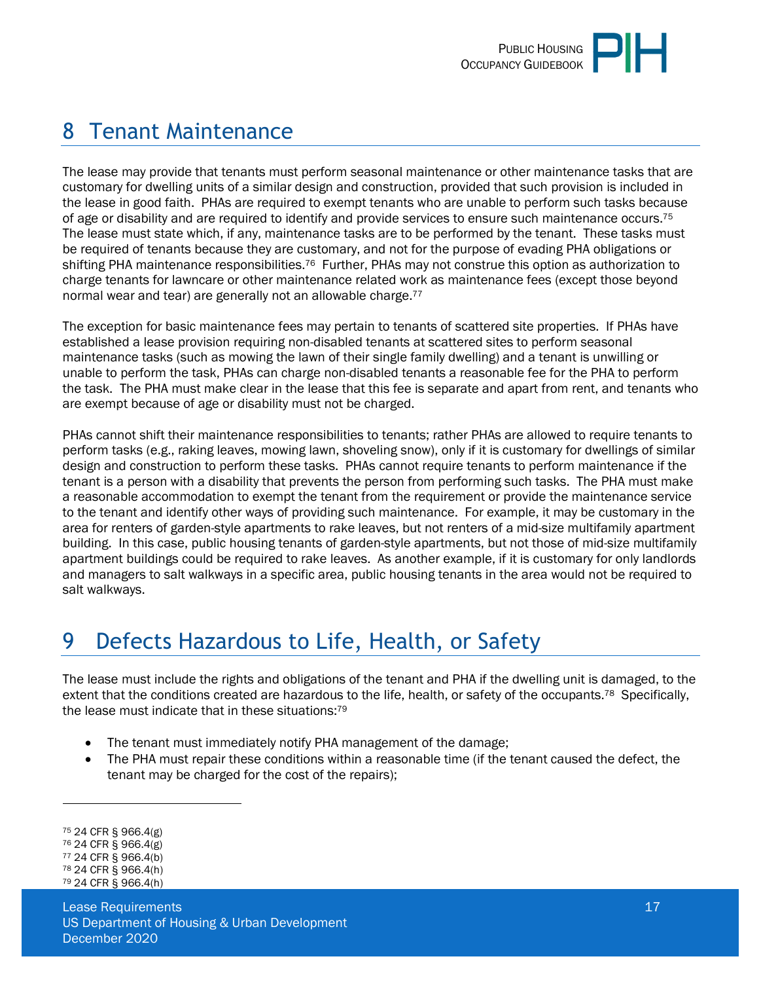# <span id="page-16-0"></span>8 Tenant Maintenance

The lease may provide that tenants must perform seasonal maintenance or other maintenance tasks that are customary for dwelling units of a similar design and construction, provided that such provision is included in the lease in good faith. PHAs are required to exempt tenants who are unable to perform such tasks because of age or disability and are required to identify and provide services to ensure such maintenance occurs.<sup>75</sup> The lease must state which, if any, maintenance tasks are to be performed by the tenant. These tasks must be required of tenants because they are customary, and not for the purpose of evading PHA obligations or shifting PHA maintenance responsibilities.<sup>76</sup> Further, PHAs may not construe this option as authorization to charge tenants for lawncare or other maintenance related work as maintenance fees (except those beyond normal wear and tear) are generally not an allowable charge.<sup>77</sup>

The exception for basic maintenance fees may pertain to tenants of scattered site properties. If PHAs have established a lease provision requiring non-disabled tenants at scattered sites to perform seasonal maintenance tasks (such as mowing the lawn of their single family dwelling) and a tenant is unwilling or unable to perform the task, PHAs can charge non-disabled tenants a reasonable fee for the PHA to perform the task. The PHA must make clear in the lease that this fee is separate and apart from rent, and tenants who are exempt because of age or disability must not be charged.

PHAs cannot shift their maintenance responsibilities to tenants; rather PHAs are allowed to require tenants to perform tasks (e.g., raking leaves, mowing lawn, shoveling snow), only if it is customary for dwellings of similar design and construction to perform these tasks. PHAs cannot require tenants to perform maintenance if the tenant is a person with a disability that prevents the person from performing such tasks. The PHA must make a reasonable accommodation to exempt the tenant from the requirement or provide the maintenance service to the tenant and identify other ways of providing such maintenance. For example, it may be customary in the area for renters of garden-style apartments to rake leaves, but not renters of a mid-size multifamily apartment building. In this case, public housing tenants of garden-style apartments, but not those of mid-size multifamily apartment buildings could be required to rake leaves. As another example, if it is customary for only landlords and managers to salt walkways in a specific area, public housing tenants in the area would not be required to salt walkways.

# <span id="page-16-1"></span>9 Defects Hazardous to Life, Health, or Safety

The lease must include the rights and obligations of the tenant and PHA if the dwelling unit is damaged, to the extent that the conditions created are hazardous to the life, health, or safety of the occupants.<sup>78</sup> Specifically, the lease must indicate that in these situations:<sup>79</sup>

- The tenant must immediately notify PHA management of the damage;
- The PHA must repair these conditions within a reasonable time (if the tenant caused the defect, the tenant may be charged for the cost of the repairs);

<sup>75</sup> 24 CFR § 966.4(g)

<sup>76</sup> 24 CFR § 966.4(g)

<sup>77</sup> 24 CFR § 966.4(b) <sup>78</sup> 24 CFR § 966.4(h)

<sup>79</sup> 24 CFR § 966.4(h)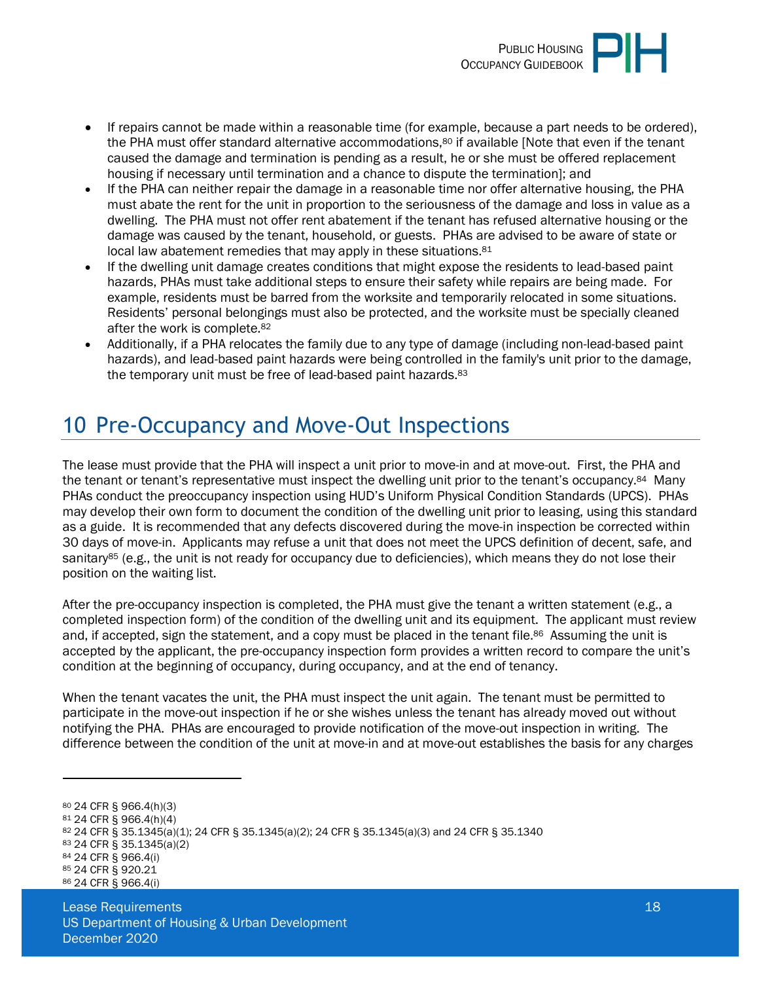

- If repairs cannot be made within a reasonable time (for example, because a part needs to be ordered), the PHA must offer standard alternative accommodations,<sup>80</sup> if available [Note that even if the tenant caused the damage and termination is pending as a result, he or she must be offered replacement housing if necessary until termination and a chance to dispute the termination]; and
- If the PHA can neither repair the damage in a reasonable time nor offer alternative housing, the PHA must abate the rent for the unit in proportion to the seriousness of the damage and loss in value as a dwelling. The PHA must not offer rent abatement if the tenant has refused alternative housing or the damage was caused by the tenant, household, or guests. PHAs are advised to be aware of state or local law abatement remedies that may apply in these situations.<sup>81</sup>
- If the dwelling unit damage creates conditions that might expose the residents to lead-based paint hazards, PHAs must take additional steps to ensure their safety while repairs are being made. For example, residents must be barred from the worksite and temporarily relocated in some situations. Residents' personal belongings must also be protected, and the worksite must be specially cleaned after the work is complete.<sup>82</sup>
- <span id="page-17-0"></span> Additionally, if a PHA relocates the family due to any type of damage (including non-lead-based paint hazards), and lead-based paint hazards were being controlled in the family's unit prior to the damage, the temporary unit must be free of lead-based paint hazards.<sup>83</sup>

# 10 Pre-Occupancy and Move-Out Inspections

The lease must provide that the PHA will inspect a unit prior to move-in and at move-out. First, the PHA and the tenant or tenant's representative must inspect the dwelling unit prior to the tenant's occupancy.<sup>84</sup> Many PHAs conduct the preoccupancy inspection using HUD's Uniform Physical Condition Standards (UPCS). PHAs may develop their own form to document the condition of the dwelling unit prior to leasing, using this standard as a guide. It is recommended that any defects discovered during the move-in inspection be corrected within 30 days of move-in. Applicants may refuse a unit that does not meet the UPCS definition of decent, safe, and sanitary<sup>85</sup> (e.g., the unit is not ready for occupancy due to deficiencies), which means they do not lose their position on the waiting list.

After the pre-occupancy inspection is completed, the PHA must give the tenant a written statement (e.g., a completed inspection form) of the condition of the dwelling unit and its equipment. The applicant must review and, if accepted, sign the statement, and a copy must be placed in the tenant file.<sup>86</sup> Assuming the unit is accepted by the applicant, the pre-occupancy inspection form provides a written record to compare the unit's condition at the beginning of occupancy, during occupancy, and at the end of tenancy.

When the tenant vacates the unit, the PHA must inspect the unit again. The tenant must be permitted to participate in the move-out inspection if he or she wishes unless the tenant has already moved out without notifying the PHA. PHAs are encouraged to provide notification of the move-out inspection in writing. The difference between the condition of the unit at move-in and at move-out establishes the basis for any charges

<sup>83</sup> 24 CFR § 35.1345(a)(2)

<sup>80</sup> 24 CFR § 966.4(h)(3)

<sup>81</sup> 24 CFR § 966.4(h)(4)

<sup>82</sup> 24 CFR § 35.1345(a)(1); 24 CFR § 35.1345(a)(2); 24 CFR § 35.1345(a)(3) and 24 CFR § 35.1340

<sup>84</sup> 24 CFR § 966.4(i)

<sup>85</sup> 24 CFR § 920.21 86 24 CFR § 966.4(i)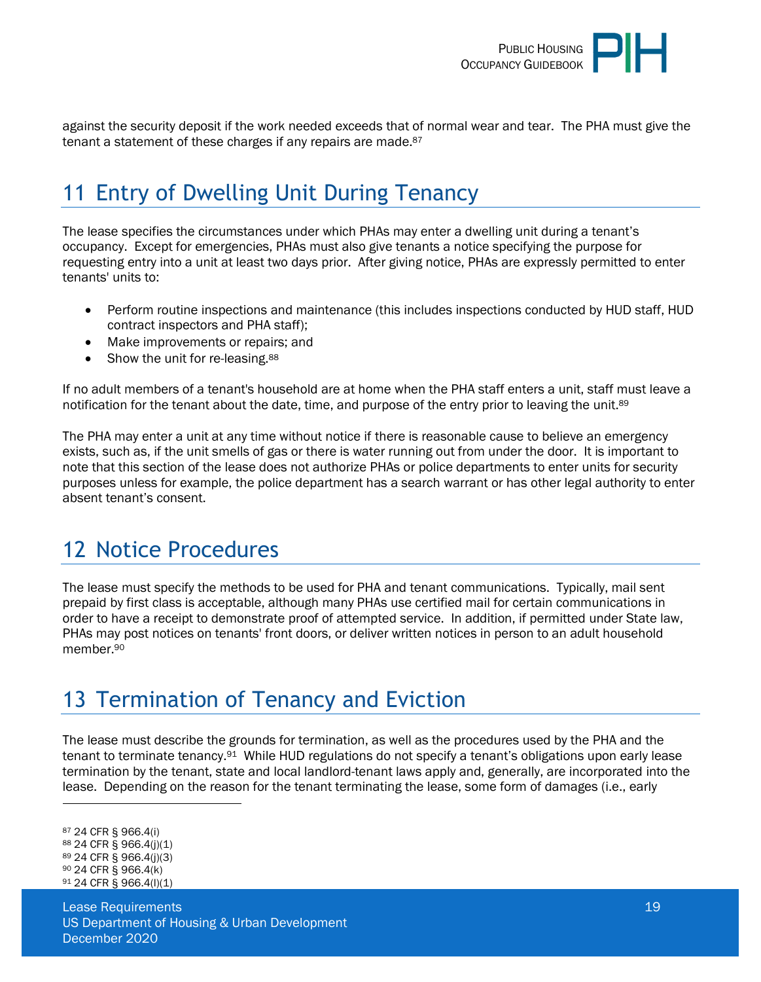

against the security deposit if the work needed exceeds that of normal wear and tear. The PHA must give the tenant a statement of these charges if any repairs are made.<sup>87</sup>

# <span id="page-18-0"></span>11 Entry of Dwelling Unit During Tenancy

The lease specifies the circumstances under which PHAs may enter a dwelling unit during a tenant's occupancy. Except for emergencies, PHAs must also give tenants a notice specifying the purpose for requesting entry into a unit at least two days prior. After giving notice, PHAs are expressly permitted to enter tenants' units to:

- Perform routine inspections and maintenance (this includes inspections conducted by HUD staff, HUD contract inspectors and PHA staff);
- Make improvements or repairs; and
- Show the unit for re-leasing.<sup>88</sup>

If no adult members of a tenant's household are at home when the PHA staff enters a unit, staff must leave a notification for the tenant about the date, time, and purpose of the entry prior to leaving the unit.<sup>89</sup>

The PHA may enter a unit at any time without notice if there is reasonable cause to believe an emergency exists, such as, if the unit smells of gas or there is water running out from under the door. It is important to note that this section of the lease does not authorize PHAs or police departments to enter units for security purposes unless for example, the police department has a search warrant or has other legal authority to enter absent tenant's consent.

# <span id="page-18-1"></span>12 Notice Procedures

The lease must specify the methods to be used for PHA and tenant communications. Typically, mail sent prepaid by first class is acceptable, although many PHAs use certified mail for certain communications in order to have a receipt to demonstrate proof of attempted service. In addition, if permitted under State law, PHAs may post notices on tenants' front doors, or deliver written notices in person to an adult household member.<sup>90</sup>

## <span id="page-18-2"></span>13 Termination of Tenancy and Eviction

The lease must describe the grounds for termination, as well as the procedures used by the PHA and the tenant to terminate tenancy.91 While HUD regulations do not specify a tenant's obligations upon early lease termination by the tenant, state and local landlord-tenant laws apply and, generally, are incorporated into the lease. Depending on the reason for the tenant terminating the lease, some form of damages (i.e., early

<sup>87</sup> 24 CFR § 966.4(i) <sup>88</sup> 24 CFR § 966.4(j)(1) <sup>89</sup> 24 CFR § 966.4(j)(3) <sup>90</sup> 24 CFR § 966.4(k) 91 24 CFR § 966.4(l)(1)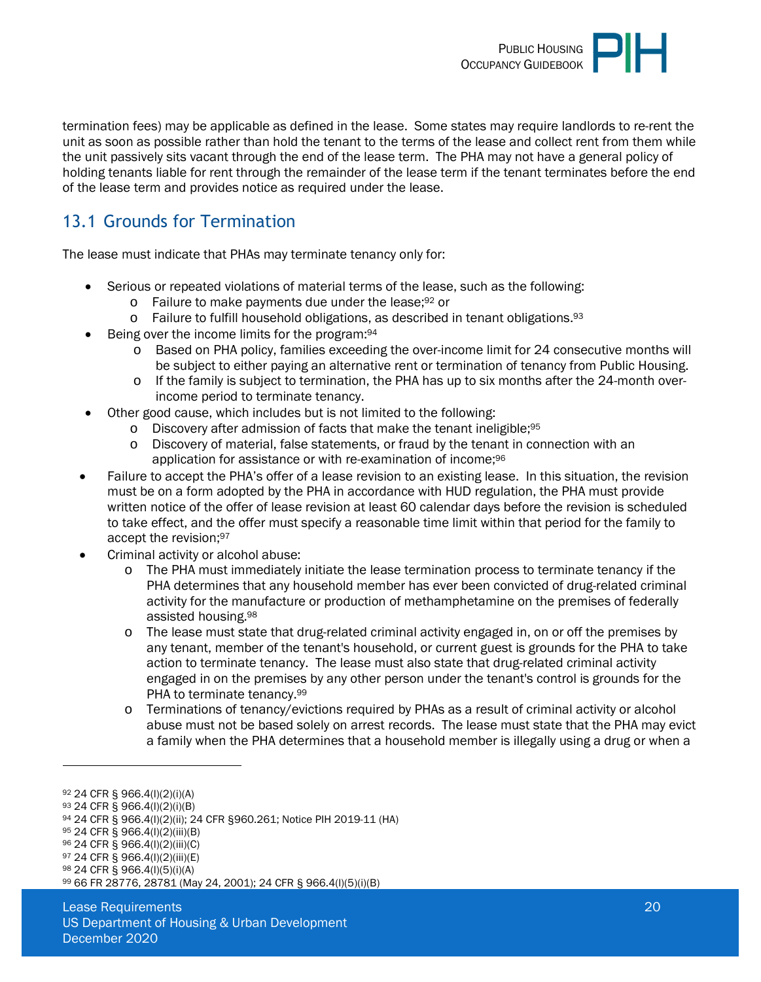

termination fees) may be applicable as defined in the lease. Some states may require landlords to re-rent the unit as soon as possible rather than hold the tenant to the terms of the lease and collect rent from them while the unit passively sits vacant through the end of the lease term. The PHA may not have a general policy of holding tenants liable for rent through the remainder of the lease term if the tenant terminates before the end of the lease term and provides notice as required under the lease.

### <span id="page-19-0"></span>13.1 Grounds for Termination

The lease must indicate that PHAs may terminate tenancy only for:

- Serious or repeated violations of material terms of the lease, such as the following:
	- o Failure to make payments due under the lease;92 or
	- $\circ$  Failure to fulfill household obligations, as described in tenant obligations.  $93$
- Being over the income limits for the program:<sup>94</sup>
	- o Based on PHA policy, families exceeding the over-income limit for 24 consecutive months will be subject to either paying an alternative rent or termination of tenancy from Public Housing.
	- $\circ$  If the family is subject to termination, the PHA has up to six months after the 24-month overincome period to terminate tenancy.
- Other good cause, which includes but is not limited to the following:
	- o Discovery after admission of facts that make the tenant ineligible;<sup>95</sup>
	- Discovery of material, false statements, or fraud by the tenant in connection with an application for assistance or with re-examination of income;<sup>96</sup>
- Failure to accept the PHA's offer of a lease revision to an existing lease. In this situation, the revision must be on a form adopted by the PHA in accordance with HUD regulation, the PHA must provide written notice of the offer of lease revision at least 60 calendar days before the revision is scheduled to take effect, and the offer must specify a reasonable time limit within that period for the family to accept the revision;<sup>97</sup>
- Criminal activity or alcohol abuse:
	- o The PHA must immediately initiate the lease termination process to terminate tenancy if the PHA determines that any household member has ever been convicted of drug-related criminal activity for the manufacture or production of methamphetamine on the premises of federally assisted housing.<sup>98</sup>
	- o The lease must state that drug-related criminal activity engaged in, on or off the premises by any tenant, member of the tenant's household, or current guest is grounds for the PHA to take action to terminate tenancy. The lease must also state that drug-related criminal activity engaged in on the premises by any other person under the tenant's control is grounds for the PHA to terminate tenancy.<sup>99</sup>
	- o Terminations of tenancy/evictions required by PHAs as a result of criminal activity or alcohol abuse must not be based solely on arrest records. The lease must state that the PHA may evict a family when the PHA determines that a household member is illegally using a drug or when a

<sup>95</sup> 24 CFR § 966.4(l)(2)(iii)(B)

<sup>92</sup> 24 CFR § 966.4(l)(2)(i)(A)

<sup>93</sup> 24 CFR § 966.4(l)(2)(i)(B)

<sup>94</sup> 24 CFR § 966.4(l)(2)(ii); 24 CFR §960.261; Notice PIH 2019-11 (HA)

<sup>96</sup> 24 CFR § 966.4(l)(2)(iii)(C)

<sup>97</sup> 24 CFR § 966.4(l)(2)(iii)(E)

<sup>98</sup> 24 CFR § 966.4(l)(5)(i)(A)

<sup>99</sup> 66 FR 28776, 28781 (May 24, 2001); 24 CFR § 966.4(l)(5)(i)(B)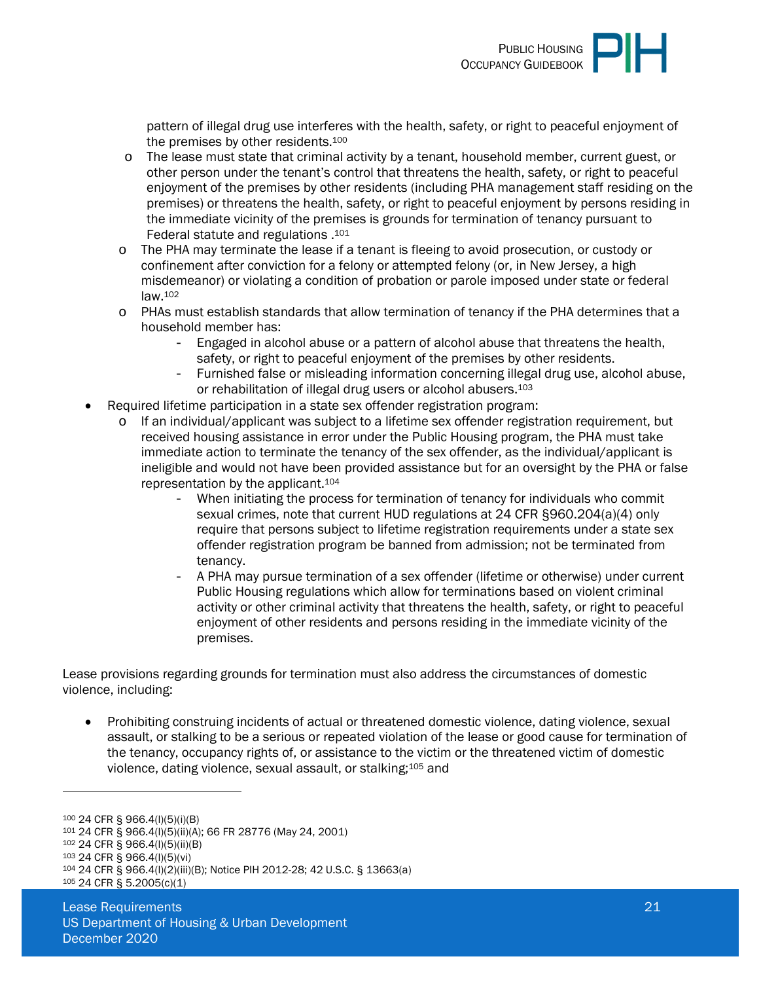

pattern of illegal drug use interferes with the health, safety, or right to peaceful enjoyment of the premises by other residents.<sup>100</sup>

- o The lease must state that criminal activity by a tenant, household member, current guest, or other person under the tenant's control that threatens the health, safety, or right to peaceful enjoyment of the premises by other residents (including PHA management staff residing on the premises) or threatens the health, safety, or right to peaceful enjoyment by persons residing in the immediate vicinity of the premises is grounds for termination of tenancy pursuant to Federal statute and regulations .<sup>101</sup>
- o The PHA may terminate the lease if a tenant is fleeing to avoid prosecution, or custody or confinement after conviction for a felony or attempted felony (or, in New Jersey, a high misdemeanor) or violating a condition of probation or parole imposed under state or federal law.<sup>102</sup>
- o PHAs must establish standards that allow termination of tenancy if the PHA determines that a household member has:
	- Engaged in alcohol abuse or a pattern of alcohol abuse that threatens the health, safety, or right to peaceful enjoyment of the premises by other residents.
	- Furnished false or misleading information concerning illegal drug use, alcohol abuse, or rehabilitation of illegal drug users or alcohol abusers.<sup>103</sup>
- Required lifetime participation in a state sex offender registration program:
	- o If an individual/applicant was subject to a lifetime sex offender registration requirement, but received housing assistance in error under the Public Housing program, the PHA must take immediate action to terminate the tenancy of the sex offender, as the individual/applicant is ineligible and would not have been provided assistance but for an oversight by the PHA or false representation by the applicant.<sup>104</sup>
		- When initiating the process for termination of tenancy for individuals who commit sexual crimes, note that current HUD regulations at 24 CFR §960.204(a)(4) only require that persons subject to lifetime registration requirements under a state sex offender registration program be banned from admission; not be terminated from tenancy.
		- A PHA may pursue termination of a sex offender (lifetime or otherwise) under current Public Housing regulations which allow for terminations based on violent criminal activity or other criminal activity that threatens the health, safety, or right to peaceful enjoyment of other residents and persons residing in the immediate vicinity of the premises.

Lease provisions regarding grounds for termination must also address the circumstances of domestic violence, including:

 Prohibiting construing incidents of actual or threatened domestic violence, dating violence, sexual assault, or stalking to be a serious or repeated violation of the lease or good cause for termination of the tenancy, occupancy rights of, or assistance to the victim or the threatened victim of domestic violence, dating violence, sexual assault, or stalking;105 and

<sup>100</sup> 24 CFR § 966.4(l)(5)(i)(B)

<sup>101</sup> 24 CFR § 966.4(l)(5)(ii)(A); 66 FR 28776 (May 24, 2001)

<sup>102</sup> 24 CFR § 966.4(l)(5)(ii)(B)

<sup>103</sup> 24 CFR § 966.4(l)(5)(vi)

<sup>104</sup> 24 CFR § 966.4(l)(2)(iii)(B); Notice PIH 2012-28; 42 U.S.C. § 13663(a)

<sup>105</sup> 24 CFR § 5.2005(c)(1)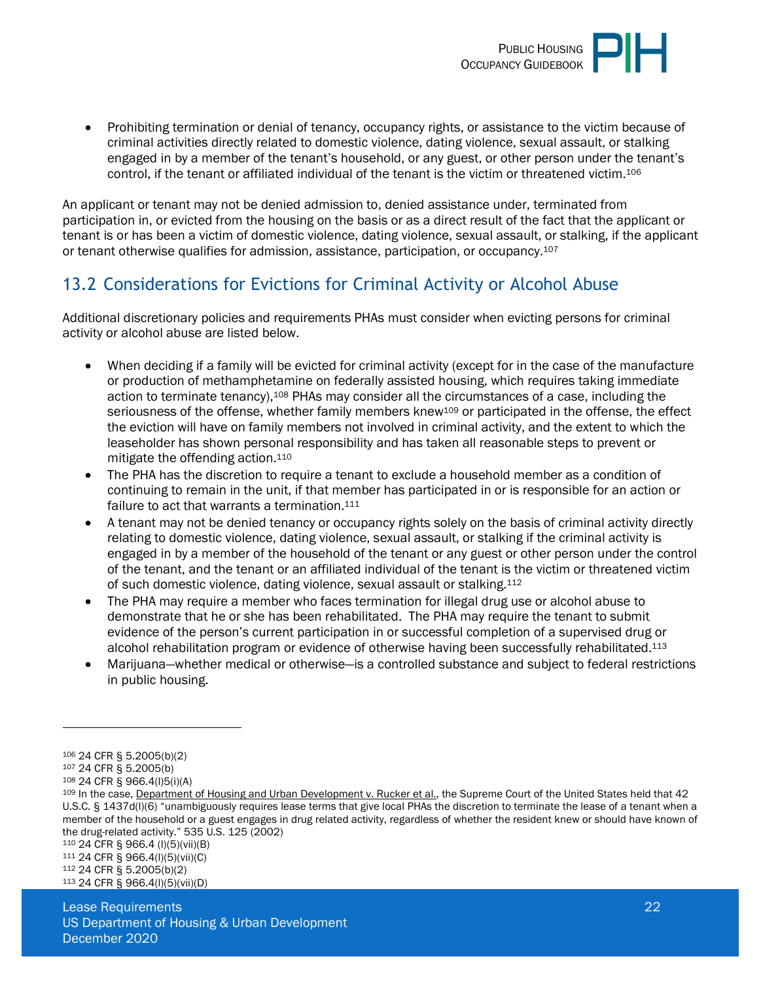

 Prohibiting termination or denial of tenancy, occupancy rights, or assistance to the victim because of criminal activities directly related to domestic violence, dating violence, sexual assault, or stalking engaged in by a member of the tenant's household, or any guest, or other person under the tenant's control, if the tenant or affiliated individual of the tenant is the victim or threatened victim.<sup>106</sup>

An applicant or tenant may not be denied admission to, denied assistance under, terminated from participation in, or evicted from the housing on the basis or as a direct result of the fact that the applicant or tenant is or has been a victim of domestic violence, dating violence, sexual assault, or stalking, if the applicant or tenant otherwise qualifies for admission, assistance, participation, or occupancy.<sup>107</sup>

### <span id="page-21-0"></span>13.2 Considerations for Evictions for Criminal Activity or Alcohol Abuse

Additional discretionary policies and requirements PHAs must consider when evicting persons for criminal activity or alcohol abuse are listed below.

- When deciding if a family will be evicted for criminal activity (except for in the case of the manufacture or production of methamphetamine on federally assisted housing, which requires taking immediate action to terminate tenancy),<sup>108</sup> PHAs may consider all the circumstances of a case, including the seriousness of the offense, whether family members knew<sup>109</sup> or participated in the offense, the effect the eviction will have on family members not involved in criminal activity, and the extent to which the leaseholder has shown personal responsibility and has taken all reasonable steps to prevent or mitigate the offending action.<sup>110</sup>
- The PHA has the discretion to require a tenant to exclude a household member as a condition of continuing to remain in the unit, if that member has participated in or is responsible for an action or failure to act that warrants a termination.<sup>111</sup>
- A tenant may not be denied tenancy or occupancy rights solely on the basis of criminal activity directly relating to domestic violence, dating violence, sexual assault, or stalking if the criminal activity is engaged in by a member of the household of the tenant or any guest or other person under the control of the tenant, and the tenant or an affiliated individual of the tenant is the victim or threatened victim of such domestic violence, dating violence, sexual assault or stalking.<sup>112</sup>
- The PHA may require a member who faces termination for illegal drug use or alcohol abuse to demonstrate that he or she has been rehabilitated. The PHA may require the tenant to submit evidence of the person's current participation in or successful completion of a supervised drug or alcohol rehabilitation program or evidence of otherwise having been successfully rehabilitated.<sup>113</sup>
- Marijuana—whether medical or otherwise—is a controlled substance and subject to federal restrictions in public housing.

 24 CFR § 966.4 (l)(5)(vii)(B) 24 CFR § 966.4(l)(5)(vii)(C) 24 CFR § 5.2005(b)(2) 24 CFR § 966.4(l)(5)(vii)(D)

<sup>106</sup> 24 CFR § 5.2005(b)(2)

<sup>107</sup> 24 CFR § 5.2005(b)

<sup>108</sup> 24 CFR § 966.4(l)5(i)(A)

<sup>109</sup> In the case, Department of Housing and Urban Development v. Rucker et al., the Supreme Court of the United States held that 42 U.S.C. § 1437d(l)(6) "unambiguously requires lease terms that give local PHAs the discretion to terminate the lease of a tenant when a member of the household or a guest engages in drug related activity, regardless of whether the resident knew or should have known of the drug-related activity." 535 U.S. 125 (2002)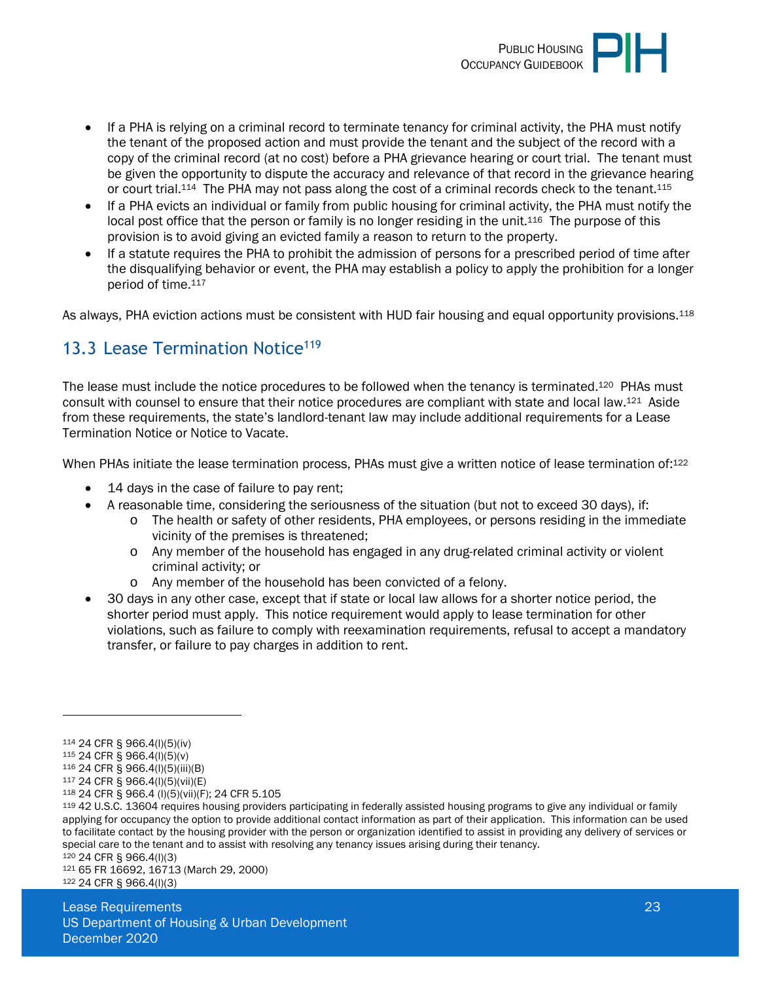

- If a PHA is relying on a criminal record to terminate tenancy for criminal activity, the PHA must notify the tenant of the proposed action and must provide the tenant and the subject of the record with a copy of the criminal record (at no cost) before a PHA grievance hearing or court trial. The tenant must be given the opportunity to dispute the accuracy and relevance of that record in the grievance hearing or court trial.114 The PHA may not pass along the cost of a criminal records check to the tenant.<sup>115</sup>
- If a PHA evicts an individual or family from public housing for criminal activity, the PHA must notify the local post office that the person or family is no longer residing in the unit.<sup>116</sup> The purpose of this provision is to avoid giving an evicted family a reason to return to the property.
- If a statute requires the PHA to prohibit the admission of persons for a prescribed period of time after the disqualifying behavior or event, the PHA may establish a policy to apply the prohibition for a longer period of time.<sup>117</sup>

As always, PHA eviction actions must be consistent with HUD fair housing and equal opportunity provisions.<sup>118</sup>

### <span id="page-22-0"></span>13.3 Lease Termination Notice<sup>119</sup>

The lease must include the notice procedures to be followed when the tenancy is terminated.<sup>120</sup> PHAs must consult with counsel to ensure that their notice procedures are compliant with state and local law.121 Aside from these requirements, the state's landlord-tenant law may include additional requirements for a Lease Termination Notice or Notice to Vacate.

When PHAs initiate the lease termination process, PHAs must give a written notice of lease termination of:<sup>122</sup>

- 14 days in the case of failure to pay rent;
- A reasonable time, considering the seriousness of the situation (but not to exceed 30 days), if:
	- o The health or safety of other residents, PHA employees, or persons residing in the immediate vicinity of the premises is threatened;
	- o Any member of the household has engaged in any drug-related criminal activity or violent criminal activity; or
	- o Any member of the household has been convicted of a felony.
- 30 days in any other case, except that if state or local law allows for a shorter notice period, the shorter period must apply. This notice requirement would apply to lease termination for other violations, such as failure to comply with reexamination requirements, refusal to accept a mandatory transfer, or failure to pay charges in addition to rent.

<sup>120</sup> 24 CFR § 966.4(l)(3)

<sup>114</sup> 24 CFR § 966.4(l)(5)(iv)

<sup>115</sup> 24 CFR § 966.4(l)(5)(v)

<sup>116</sup> 24 CFR § 966.4(l)(5)(iii)(B) <sup>117</sup> 24 CFR § 966.4(l)(5)(vii)(E)

<sup>118</sup> 24 CFR § 966.4 (l)(5)(vii)(F); 24 CFR 5.105

<sup>119</sup> 42 U.S.C. 13604 requires housing providers participating in federally assisted housing programs to give any individual or family applying for occupancy the option to provide additional contact information as part of their application. This information can be used to facilitate contact by the housing provider with the person or organization identified to assist in providing any delivery of services or special care to the tenant and to assist with resolving any tenancy issues arising during their tenancy.

<sup>121</sup> 65 FR 16692, 16713 (March 29, 2000) 122 24 CFR § 966.4(l)(3)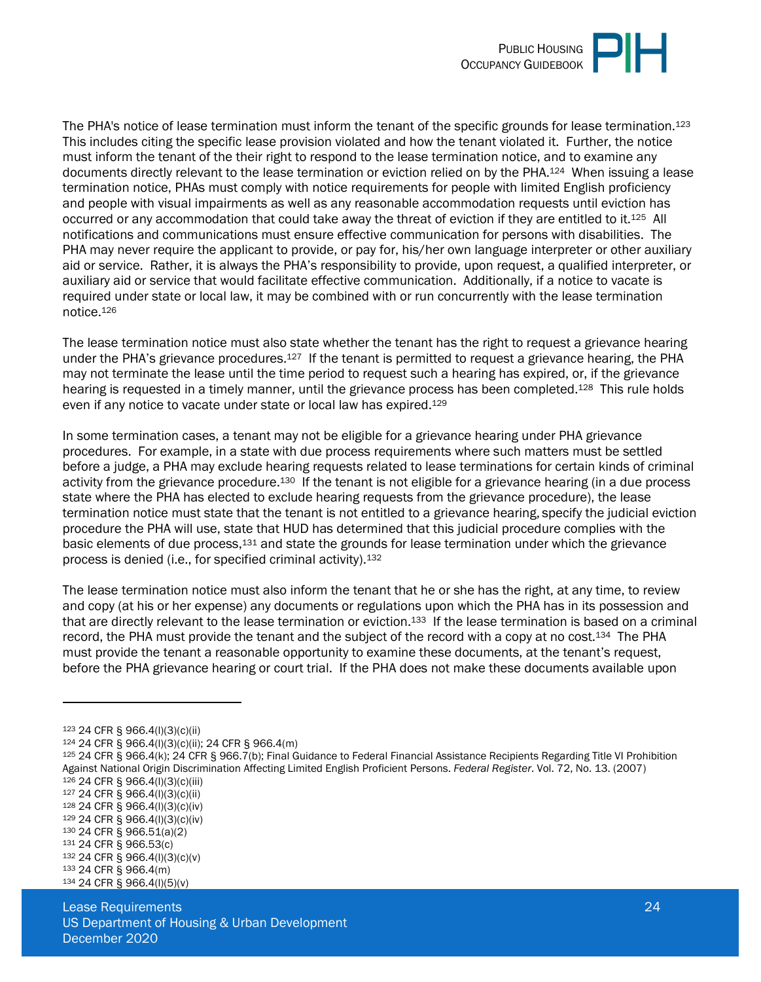

The PHA's notice of lease termination must inform the tenant of the specific grounds for lease termination.<sup>123</sup> This includes citing the specific lease provision violated and how the tenant violated it. Further, the notice must inform the tenant of the their right to respond to the lease termination notice, and to examine any documents directly relevant to the lease termination or eviction relied on by the PHA.124 When issuing a lease termination notice, PHAs must comply with notice requirements for people with limited English proficiency and people with visual impairments as well as any reasonable accommodation requests until eviction has occurred or any accommodation that could take away the threat of eviction if they are entitled to it.125 All notifications and communications must ensure effective communication for persons with disabilities. The PHA may never require the applicant to provide, or pay for, his/her own language interpreter or other auxiliary aid or service. Rather, it is always the PHA's responsibility to provide, upon request, a qualified interpreter, or auxiliary aid or service that would facilitate effective communication. Additionally, if a notice to vacate is required under state or local law, it may be combined with or run concurrently with the lease termination notice.<sup>126</sup>

The lease termination notice must also state whether the tenant has the right to request a grievance hearing under the PHA's grievance procedures.127 If the tenant is permitted to request a grievance hearing, the PHA may not terminate the lease until the time period to request such a hearing has expired, or, if the grievance hearing is requested in a timely manner, until the grievance process has been completed.<sup>128</sup> This rule holds even if any notice to vacate under state or local law has expired.<sup>129</sup>

In some termination cases, a tenant may not be eligible for a grievance hearing under PHA grievance procedures. For example, in a state with due process requirements where such matters must be settled before a judge, a PHA may exclude hearing requests related to lease terminations for certain kinds of criminal activity from the grievance procedure.130 If the tenant is not eligible for a grievance hearing (in a due process state where the PHA has elected to exclude hearing requests from the grievance procedure), the lease termination notice must state that the tenant is not entitled to a grievance hearing, specify the judicial eviction procedure the PHA will use, state that HUD has determined that this judicial procedure complies with the basic elements of due process,<sup>131</sup> and state the grounds for lease termination under which the grievance process is denied (i.e., for specified criminal activity).<sup>132</sup>

The lease termination notice must also inform the tenant that he or she has the right, at any time, to review and copy (at his or her expense) any documents or regulations upon which the PHA has in its possession and that are directly relevant to the lease termination or eviction.<sup>133</sup> If the lease termination is based on a criminal record, the PHA must provide the tenant and the subject of the record with a copy at no cost.134 The PHA must provide the tenant a reasonable opportunity to examine these documents, at the tenant's request, before the PHA grievance hearing or court trial. If the PHA does not make these documents available upon

- <sup>127</sup> 24 CFR § 966.4(l)(3)(c)(ii)
- <sup>128</sup> 24 CFR § 966.4(l)(3)(c)(iv)
- <sup>129</sup> 24 CFR § 966.4(l)(3)(c)(iv)
- <sup>130</sup> 24 CFR § 966.51(a)(2)
- <sup>131</sup> 24 CFR § 966.53(c)
- <sup>132</sup> 24 CFR § 966.4(l)(3)(c)(v)

<sup>123</sup> 24 CFR § 966.4(l)(3)(c)(ii)

<sup>124</sup> 24 CFR § 966.4(l)(3)(c)(ii); 24 CFR § 966.4(m)

<sup>125</sup> 24 CFR § 966.4(k); 24 CFR § 966.7(b); Final Guidance to Federal Financial Assistance Recipients Regarding Title VI Prohibition Against National Origin Discrimination Affecting Limited English Proficient Persons. *Federal Register*. Vol. 72, No. 13. (2007) <sup>126</sup> 24 CFR § 966.4(l)(3)(c)(iii)

<sup>133</sup> 24 CFR § 966.4(m)

<sup>134</sup> 24 CFR § 966.4(l)(5)(v)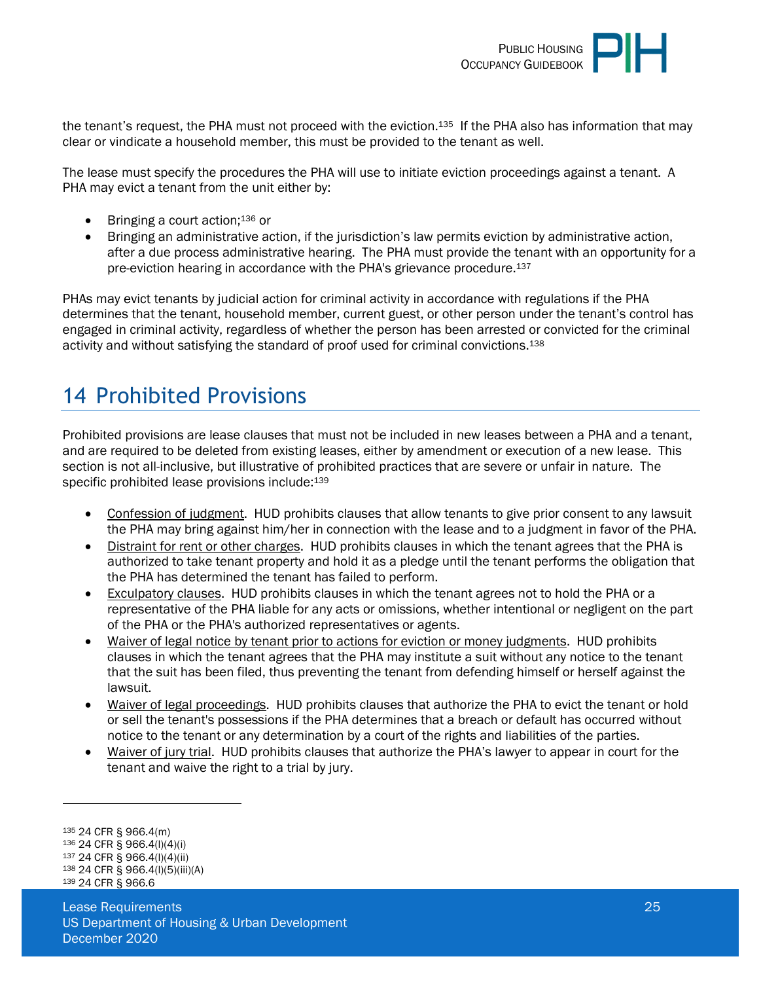

the tenant's request, the PHA must not proceed with the eviction.135 If the PHA also has information that may clear or vindicate a household member, this must be provided to the tenant as well.

The lease must specify the procedures the PHA will use to initiate eviction proceedings against a tenant. A PHA may evict a tenant from the unit either by:

- $\bullet$  Bringing a court action;<sup>136</sup> or
- Bringing an administrative action, if the jurisdiction's law permits eviction by administrative action, after a due process administrative hearing. The PHA must provide the tenant with an opportunity for a pre-eviction hearing in accordance with the PHA's grievance procedure.<sup>137</sup>

PHAs may evict tenants by judicial action for criminal activity in accordance with regulations if the PHA determines that the tenant, household member, current guest, or other person under the tenant's control has engaged in criminal activity, regardless of whether the person has been arrested or convicted for the criminal activity and without satisfying the standard of proof used for criminal convictions.<sup>138</sup>

## <span id="page-24-0"></span>14 Prohibited Provisions

Prohibited provisions are lease clauses that must not be included in new leases between a PHA and a tenant, and are required to be deleted from existing leases, either by amendment or execution of a new lease. This section is not all-inclusive, but illustrative of prohibited practices that are severe or unfair in nature. The specific prohibited lease provisions include:<sup>139</sup>

- Confession of judgment. HUD prohibits clauses that allow tenants to give prior consent to any lawsuit the PHA may bring against him/her in connection with the lease and to a judgment in favor of the PHA.
- Distraint for rent or other charges. HUD prohibits clauses in which the tenant agrees that the PHA is authorized to take tenant property and hold it as a pledge until the tenant performs the obligation that the PHA has determined the tenant has failed to perform.
- Exculpatory clauses. HUD prohibits clauses in which the tenant agrees not to hold the PHA or a representative of the PHA liable for any acts or omissions, whether intentional or negligent on the part of the PHA or the PHA's authorized representatives or agents.
- Waiver of legal notice by tenant prior to actions for eviction or money judgments. HUD prohibits clauses in which the tenant agrees that the PHA may institute a suit without any notice to the tenant that the suit has been filed, thus preventing the tenant from defending himself or herself against the lawsuit.
- Waiver of legal proceedings. HUD prohibits clauses that authorize the PHA to evict the tenant or hold or sell the tenant's possessions if the PHA determines that a breach or default has occurred without notice to the tenant or any determination by a court of the rights and liabilities of the parties.
- Waiver of jury trial. HUD prohibits clauses that authorize the PHA's lawyer to appear in court for the tenant and waive the right to a trial by jury.

<sup>135</sup> 24 CFR § 966.4(m)

<sup>136</sup> 24 CFR § 966.4(l)(4)(i)

<sup>137</sup> 24 CFR § 966.4(l)(4)(ii)

<sup>138</sup> 24 CFR § 966.4(l)(5)(iii)(A) 139 24 CFR § 966.6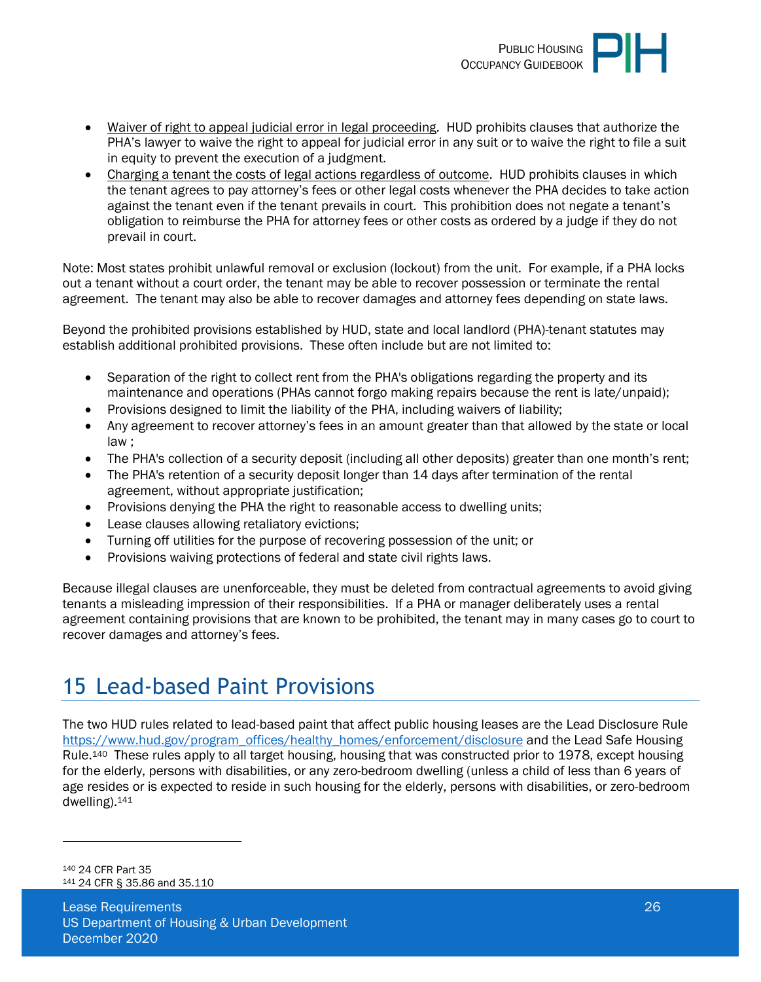

- Waiver of right to appeal judicial error in legal proceeding. HUD prohibits clauses that authorize the PHA's lawyer to waive the right to appeal for judicial error in any suit or to waive the right to file a suit in equity to prevent the execution of a judgment.
- Charging a tenant the costs of legal actions regardless of outcome. HUD prohibits clauses in which the tenant agrees to pay attorney's fees or other legal costs whenever the PHA decides to take action against the tenant even if the tenant prevails in court. This prohibition does not negate a tenant's obligation to reimburse the PHA for attorney fees or other costs as ordered by a judge if they do not prevail in court.

Note: Most states prohibit unlawful removal or exclusion (lockout) from the unit. For example, if a PHA locks out a tenant without a court order, the tenant may be able to recover possession or terminate the rental agreement. The tenant may also be able to recover damages and attorney fees depending on state laws.

Beyond the prohibited provisions established by HUD, state and local landlord (PHA)-tenant statutes may establish additional prohibited provisions. These often include but are not limited to:

- Separation of the right to collect rent from the PHA's obligations regarding the property and its maintenance and operations (PHAs cannot forgo making repairs because the rent is late/unpaid);
- Provisions designed to limit the liability of the PHA, including waivers of liability;
- Any agreement to recover attorney's fees in an amount greater than that allowed by the state or local law ;
- The PHA's collection of a security deposit (including all other deposits) greater than one month's rent;
- The PHA's retention of a security deposit longer than 14 days after termination of the rental agreement, without appropriate justification;
- Provisions denying the PHA the right to reasonable access to dwelling units;
- Lease clauses allowing retaliatory evictions;
- Turning off utilities for the purpose of recovering possession of the unit; or
- Provisions waiving protections of federal and state civil rights laws.

Because illegal clauses are unenforceable, they must be deleted from contractual agreements to avoid giving tenants a misleading impression of their responsibilities. If a PHA or manager deliberately uses a rental agreement containing provisions that are known to be prohibited, the tenant may in many cases go to court to recover damages and attorney's fees.

# <span id="page-25-0"></span>15 Lead-based Paint Provisions

The two HUD rules related to lead-based paint that affect public housing leases are the Lead Disclosure Rule [https://www.hud.gov/program\\_offices/healthy\\_homes/enforcement/disclosure](https://www.hud.gov/program_offices/healthy_homes/enforcement/disclosure) and the Lead Safe Housing Rule.140 These rules apply to all target housing, housing that was constructed prior to 1978, except housing for the elderly, persons with disabilities, or any zero-bedroom dwelling (unless a child of less than 6 years of age resides or is expected to reside in such housing for the elderly, persons with disabilities, or zero-bedroom dwelling).<sup>141</sup>

<sup>140</sup> 24 CFR Part 35 141 24 CFR § 35.86 and 35.110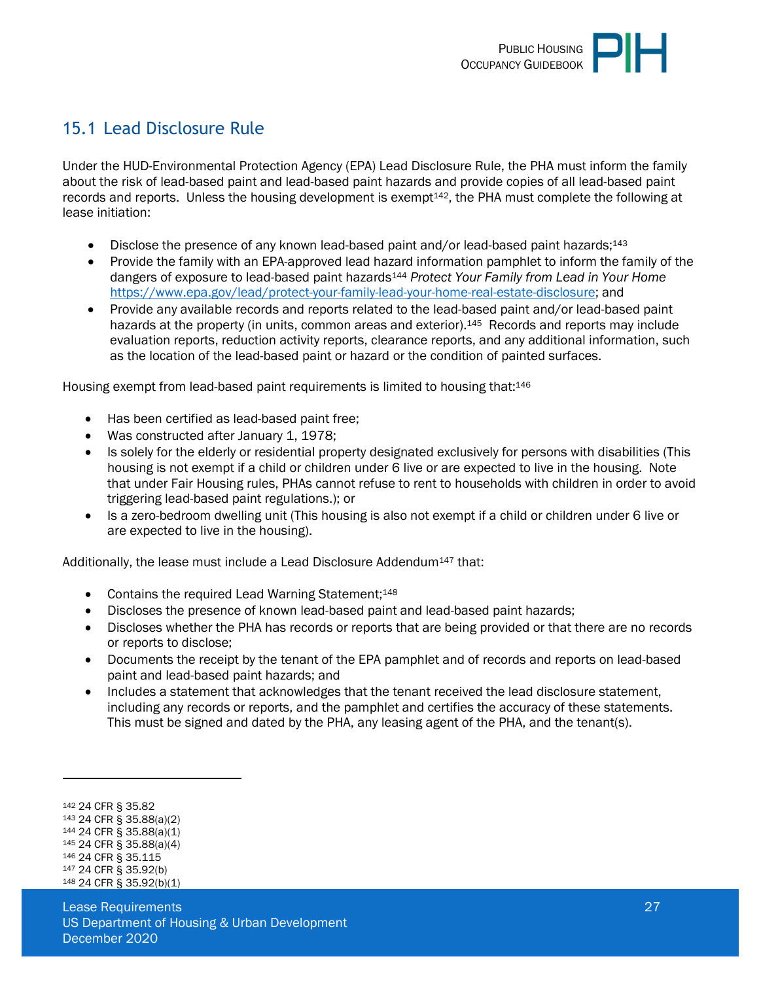### <span id="page-26-0"></span>15.1 Lead Disclosure Rule

Under the HUD-Environmental Protection Agency (EPA) Lead Disclosure Rule, the PHA must inform the family about the risk of lead-based paint and lead-based paint hazards and provide copies of all lead-based paint records and reports. Unless the housing development is exempt<sup>142</sup>, the PHA must complete the following at lease initiation:

- Disclose the presence of any known lead-based paint and/or lead-based paint hazards;<sup>143</sup>
- Provide the family with an EPA-approved lead hazard information pamphlet to inform the family of the dangers of exposure to lead-based paint hazards<sup>144</sup> *Protect Your Family from Lead in Your Home* [https://www.epa.gov/lead/protect-your-family-lead-your-home-real-estate-disclosure;](https://www.epa.gov/lead/protect-your-family-lead-your-home-real-estate-disclosure) and
- Provide any available records and reports related to the lead-based paint and/or lead-based paint hazards at the property (in units, common areas and exterior).<sup>145</sup> Records and reports may include evaluation reports, reduction activity reports, clearance reports, and any additional information, such as the location of the lead-based paint or hazard or the condition of painted surfaces.

Housing exempt from lead-based paint requirements is limited to housing that:<sup>146</sup>

- Has been certified as lead-based paint free;
- Was constructed after January 1, 1978;
- Is solely for the elderly or residential property designated exclusively for persons with disabilities (This housing is not exempt if a child or children under 6 live or are expected to live in the housing. Note that under Fair Housing rules, PHAs cannot refuse to rent to households with children in order to avoid triggering lead-based paint regulations.); or
- Is a zero-bedroom dwelling unit (This housing is also not exempt if a child or children under 6 live or are expected to live in the housing).

Additionally, the lease must include a Lead Disclosure Addendum147 that:

- Contains the required Lead Warning Statement: 148
- Discloses the presence of known lead-based paint and lead-based paint hazards;
- Discloses whether the PHA has records or reports that are being provided or that there are no records or reports to disclose;
- Documents the receipt by the tenant of the EPA pamphlet and of records and reports on lead-based paint and lead-based paint hazards; and
- Includes a statement that acknowledges that the tenant received the lead disclosure statement, including any records or reports, and the pamphlet and certifies the accuracy of these statements. This must be signed and dated by the PHA, any leasing agent of the PHA, and the tenant(s).

<sup>144</sup> 24 CFR § 35.88(a)(1) <sup>145</sup> 24 CFR § 35.88(a)(4)

<sup>142</sup> 24 CFR § 35.82

<sup>143</sup> 24 CFR § 35.88(a)(2)

<sup>146</sup> 24 CFR § 35.115

<sup>147</sup> 24 CFR § 35.92(b)

<sup>148</sup> 24 CFR § 35.92(b)(1)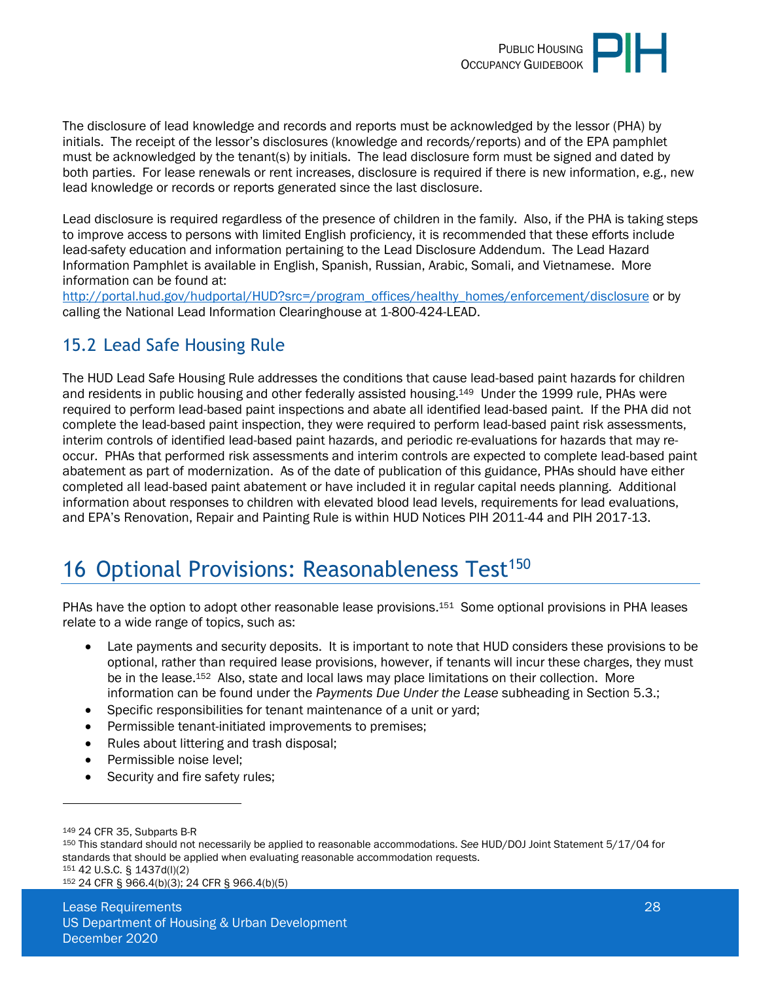

The disclosure of lead knowledge and records and reports must be acknowledged by the lessor (PHA) by initials. The receipt of the lessor's disclosures (knowledge and records/reports) and of the EPA pamphlet must be acknowledged by the tenant(s) by initials. The lead disclosure form must be signed and dated by both parties. For lease renewals or rent increases, disclosure is required if there is new information, e.g., new lead knowledge or records or reports generated since the last disclosure.

Lead disclosure is required regardless of the presence of children in the family. Also, if the PHA is taking steps to improve access to persons with limited English proficiency, it is recommended that these efforts include lead-safety education and information pertaining to the Lead Disclosure Addendum. The Lead Hazard Information Pamphlet is available in English, Spanish, Russian, Arabic, Somali, and Vietnamese. More information can be found at:

[http://portal.hud.gov/hudportal/HUD?src=/program\\_offices/healthy\\_homes/enforcement/disclosure](http://portal.hud.gov/hudportal/HUD?src=/program_offices/healthy_homes/enforcement/disclosure) or by calling the National Lead Information Clearinghouse at 1-800-424-LEAD.

### <span id="page-27-0"></span>15.2 Lead Safe Housing Rule

The HUD Lead Safe Housing Rule addresses the conditions that cause lead-based paint hazards for children and residents in public housing and other federally assisted housing.149 Under the 1999 rule, PHAs were required to perform lead-based paint inspections and abate all identified lead-based paint. If the PHA did not complete the lead-based paint inspection, they were required to perform lead-based paint risk assessments, interim controls of identified lead-based paint hazards, and periodic re-evaluations for hazards that may reoccur. PHAs that performed risk assessments and interim controls are expected to complete lead-based paint abatement as part of modernization. As of the date of publication of this guidance, PHAs should have either completed all lead-based paint abatement or have included it in regular capital needs planning. Additional information about responses to children with elevated blood lead levels, requirements for lead evaluations, and EPA's Renovation, Repair and Painting Rule is within HUD Notices PIH 2011-44 and PIH 2017-13.

# <span id="page-27-1"></span>16 Optional Provisions: Reasonableness Test<sup>150</sup>

PHAs have the option to adopt other reasonable lease provisions.<sup>151</sup> Some optional provisions in PHA leases relate to a wide range of topics, such as:

- Late payments and security deposits. It is important to note that HUD considers these provisions to be optional, rather than required lease provisions, however, if tenants will incur these charges, they must be in the lease.<sup>152</sup> Also, state and local laws may place limitations on their collection. More information can be found under the *Payments Due Under the Lease* subheading in Section 5.3.;
- Specific responsibilities for tenant maintenance of a unit or yard;
- Permissible tenant-initiated improvements to premises;
- Rules about littering and trash disposal;
- Permissible noise level;
- Security and fire safety rules;

<sup>151</sup> 42 U.S.C. § 1437d(l)(2)

152 24 CFR § 966.4(b)(3); 24 CFR § 966.4(b)(5)

<sup>149</sup> 24 CFR 35, Subparts B-R

<sup>150</sup> This standard should not necessarily be applied to reasonable accommodations. *See* HUD/DOJ Joint Statement 5/17/04 for standards that should be applied when evaluating reasonable accommodation requests.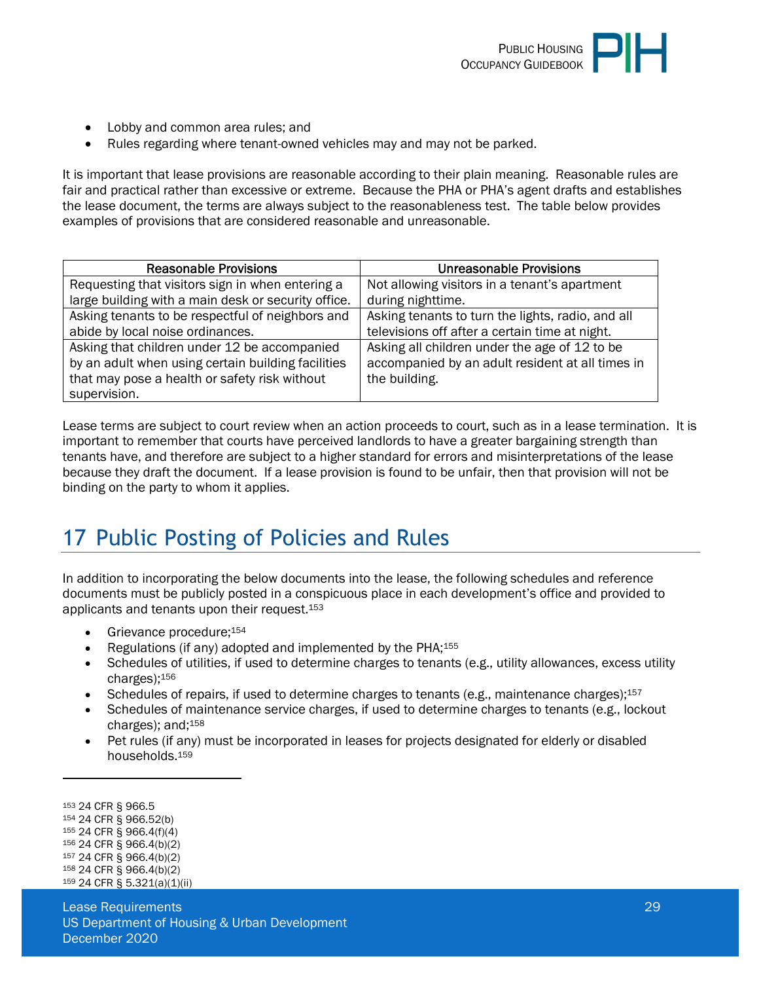

- Lobby and common area rules: and
- Rules regarding where tenant-owned vehicles may and may not be parked.

It is important that lease provisions are reasonable according to their plain meaning. Reasonable rules are fair and practical rather than excessive or extreme. Because the PHA or PHA's agent drafts and establishes the lease document, the terms are always subject to the reasonableness test. The table below provides examples of provisions that are considered reasonable and unreasonable.

| <b>Reasonable Provisions</b>                        | <b>Unreasonable Provisions</b>                    |
|-----------------------------------------------------|---------------------------------------------------|
| Requesting that visitors sign in when entering a    | Not allowing visitors in a tenant's apartment     |
| large building with a main desk or security office. | during nighttime.                                 |
| Asking tenants to be respectful of neighbors and    | Asking tenants to turn the lights, radio, and all |
| abide by local noise ordinances.                    | televisions off after a certain time at night.    |
| Asking that children under 12 be accompanied        | Asking all children under the age of 12 to be     |
| by an adult when using certain building facilities  | accompanied by an adult resident at all times in  |
| that may pose a health or safety risk without       | the building.                                     |
| supervision.                                        |                                                   |

Lease terms are subject to court review when an action proceeds to court, such as in a lease termination. It is important to remember that courts have perceived landlords to have a greater bargaining strength than tenants have, and therefore are subject to a higher standard for errors and misinterpretations of the lease because they draft the document. If a lease provision is found to be unfair, then that provision will not be binding on the party to whom it applies.

# <span id="page-28-0"></span>17 Public Posting of Policies and Rules

In addition to incorporating the below documents into the lease, the following schedules and reference documents must be publicly posted in a conspicuous place in each development's office and provided to applicants and tenants upon their request.<sup>153</sup>

- Grievance procedure;<sup>154</sup>
- Regulations (if any) adopted and implemented by the PHA;<sup>155</sup>
- Schedules of utilities, if used to determine charges to tenants (e.g., utility allowances, excess utility charges);<sup>156</sup>
- Schedules of repairs, if used to determine charges to tenants (e.g., maintenance charges);<sup>157</sup>
- Schedules of maintenance service charges, if used to determine charges to tenants (e.g., lockout charges); and;<sup>158</sup>
- Pet rules (if any) must be incorporated in leases for projects designated for elderly or disabled households.<sup>159</sup>

<sup>153</sup> 24 CFR § 966.5 <sup>154</sup> 24 CFR § 966.52(b) <sup>155</sup> 24 CFR § 966.4(f)(4) <sup>156</sup> 24 CFR § 966.4(b)(2) <sup>157</sup> 24 CFR § 966.4(b)(2) <sup>158</sup> 24 CFR § 966.4(b)(2) 159 24 CFR § 5.321(a)(1)(ii)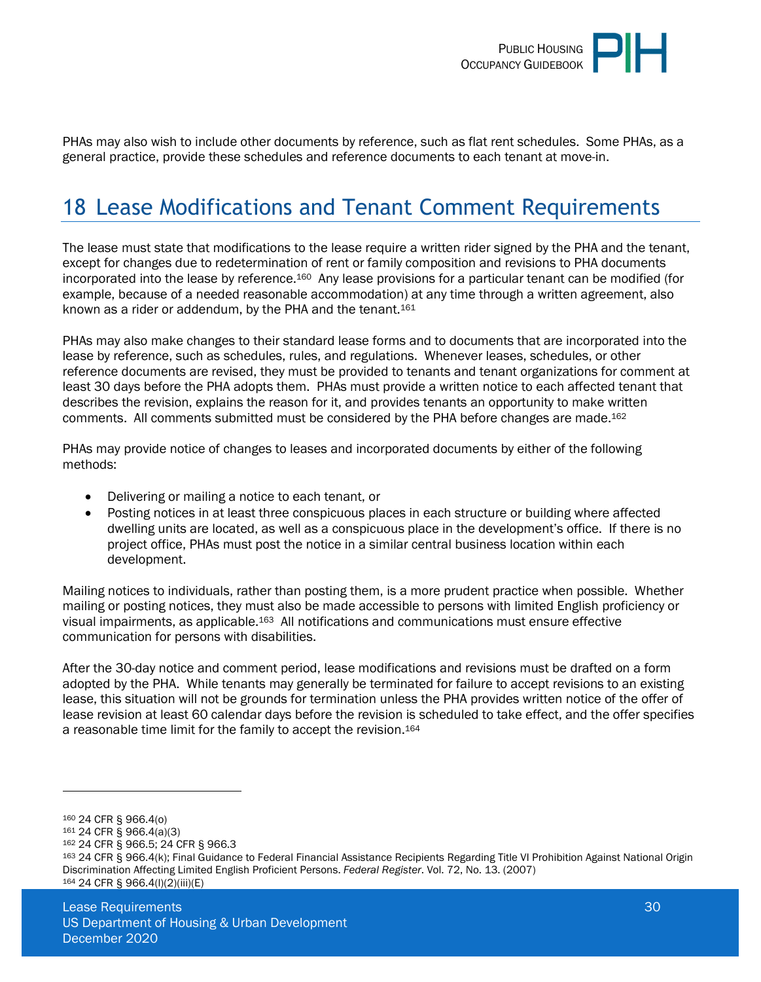

PHAs may also wish to include other documents by reference, such as flat rent schedules. Some PHAs, as a general practice, provide these schedules and reference documents to each tenant at move-in.

# <span id="page-29-0"></span>18 Lease Modifications and Tenant Comment Requirements

The lease must state that modifications to the lease require a written rider signed by the PHA and the tenant, except for changes due to redetermination of rent or family composition and revisions to PHA documents incorporated into the lease by reference.160 Any lease provisions for a particular tenant can be modified (for example, because of a needed reasonable accommodation) at any time through a written agreement, also known as a rider or addendum, by the PHA and the tenant.<sup>161</sup>

PHAs may also make changes to their standard lease forms and to documents that are incorporated into the lease by reference, such as schedules, rules, and regulations. Whenever leases, schedules, or other reference documents are revised, they must be provided to tenants and tenant organizations for comment at least 30 days before the PHA adopts them. PHAs must provide a written notice to each affected tenant that describes the revision, explains the reason for it, and provides tenants an opportunity to make written comments. All comments submitted must be considered by the PHA before changes are made.<sup>162</sup>

PHAs may provide notice of changes to leases and incorporated documents by either of the following methods:

- Delivering or mailing a notice to each tenant, or
- Posting notices in at least three conspicuous places in each structure or building where affected dwelling units are located, as well as a conspicuous place in the development's office. If there is no project office, PHAs must post the notice in a similar central business location within each development.

Mailing notices to individuals, rather than posting them, is a more prudent practice when possible. Whether mailing or posting notices, they must also be made accessible to persons with limited English proficiency or visual impairments, as applicable.163 All notifications and communications must ensure effective communication for persons with disabilities.

After the 30-day notice and comment period, lease modifications and revisions must be drafted on a form adopted by the PHA. While tenants may generally be terminated for failure to accept revisions to an existing lease, this situation will not be grounds for termination unless the PHA provides written notice of the offer of lease revision at least 60 calendar days before the revision is scheduled to take effect, and the offer specifies a reasonable time limit for the family to accept the revision.<sup>164</sup>

<sup>162</sup> 24 CFR § 966.5; 24 CFR § 966.3

<sup>160</sup> 24 CFR § 966.4(o)

<sup>161</sup> 24 CFR § 966.4(a)(3)

<sup>163</sup> 24 CFR § 966.4(k); Final Guidance to Federal Financial Assistance Recipients Regarding Title VI Prohibition Against National Origin Discrimination Affecting Limited English Proficient Persons. *Federal Register*. Vol. 72, No. 13. (2007) 164 24 CFR § 966.4(l)(2)(iii)(E)